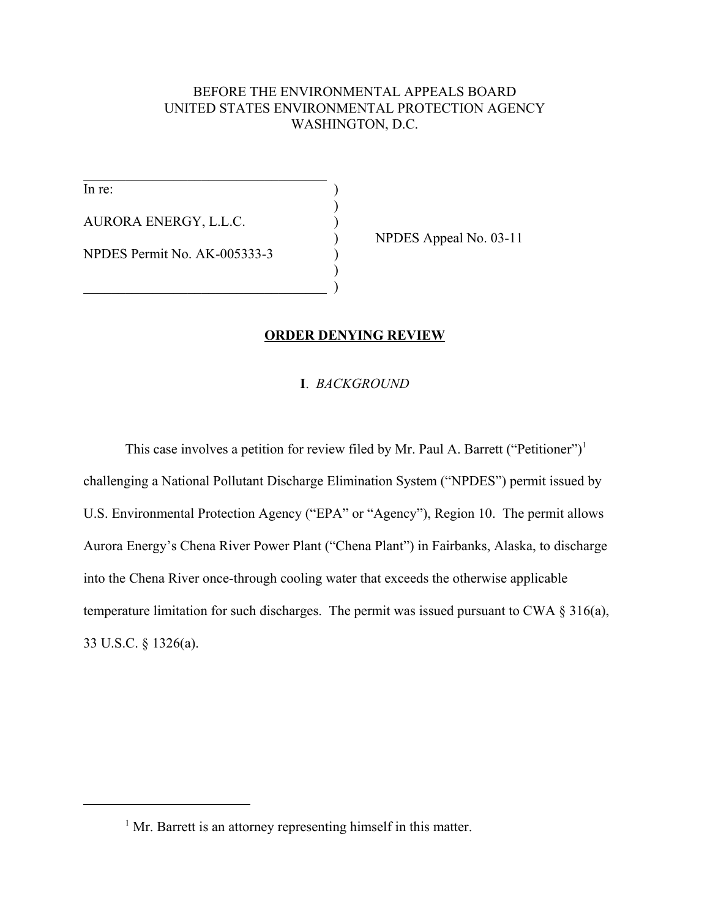# BEFORE THE ENVIRONMENTAL APPEALS BOARD UNITED STATES ENVIRONMENTAL PROTECTION AGENCY WASHINGTON, D.C.

)

)

In re: AURORA ENERGY, L.L.C. ) NPDES Permit No. AK-005333-3 )

 $\mathcal{L}_\text{max}$  , where  $\mathcal{L}_\text{max}$  and  $\mathcal{L}_\text{max}$  and  $\mathcal{L}_\text{max}$ 

 $\qquad \qquad \qquad \qquad \qquad \qquad \qquad$ 

) NPDES Appeal No. 03-11

# **ORDER DENYING REVIEW**

# **I**. *BACKGROUND*

This case involves a petition for review filed by Mr. Paul A. Barrett ("Petitioner")<sup>1</sup> challenging a National Pollutant Discharge Elimination System ("NPDES") permit issued by U.S. Environmental Protection Agency ("EPA" or "Agency"), Region 10. The permit allows Aurora Energy's Chena River Power Plant ("Chena Plant") in Fairbanks, Alaska, to discharge into the Chena River once-through cooling water that exceeds the otherwise applicable temperature limitation for such discharges. The permit was issued pursuant to CWA § 316(a), 33 U.S.C. § 1326(a).

<sup>&</sup>lt;sup>1</sup> Mr. Barrett is an attorney representing himself in this matter.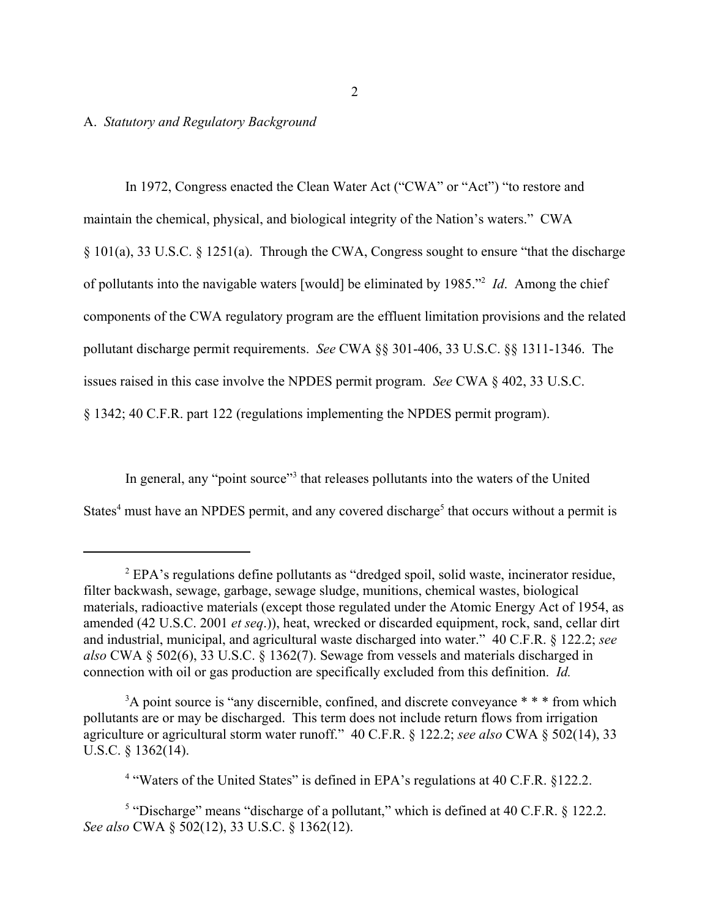# A. *Statutory and Regulatory Background*

In 1972, Congress enacted the Clean Water Act ("CWA" or "Act") "to restore and maintain the chemical, physical, and biological integrity of the Nation's waters." CWA § 101(a), 33 U.S.C. § 1251(a). Through the CWA, Congress sought to ensure "that the discharge of pollutants into the navigable waters [would] be eliminated by 1985."2 *Id*. Among the chief components of the CWA regulatory program are the effluent limitation provisions and the related pollutant discharge permit requirements. *See* CWA §§ 301-406, 33 U.S.C. §§ 1311-1346. The issues raised in this case involve the NPDES permit program. *See* CWA § 402, 33 U.S.C. § 1342; 40 C.F.R. part 122 (regulations implementing the NPDES permit program).

In general, any "point source"<sup>3</sup> that releases pollutants into the waters of the United States<sup>4</sup> must have an NPDES permit, and any covered discharge<sup>5</sup> that occurs without a permit is

 $2$  EPA's regulations define pollutants as "dredged spoil, solid waste, incinerator residue, filter backwash, sewage, garbage, sewage sludge, munitions, chemical wastes, biological materials, radioactive materials (except those regulated under the Atomic Energy Act of 1954, as amended (42 U.S.C. 2001 *et seq*.)), heat, wrecked or discarded equipment, rock, sand, cellar dirt and industrial, municipal, and agricultural waste discharged into water." 40 C.F.R. § 122.2; *see also* CWA § 502(6), 33 U.S.C. § 1362(7). Sewage from vessels and materials discharged in connection with oil or gas production are specifically excluded from this definition. *Id.*

<sup>&</sup>lt;sup>3</sup>A point source is "any discernible, confined, and discrete conveyance \* \* \* from which pollutants are or may be discharged. This term does not include return flows from irrigation agriculture or agricultural storm water runoff." 40 C.F.R. § 122.2; *see also* CWA § 502(14), 33 U.S.C. § 1362(14).

<sup>&</sup>lt;sup>4</sup> "Waters of the United States" is defined in EPA's regulations at 40 C.F.R. §122.2.

<sup>&</sup>lt;sup>5</sup> "Discharge" means "discharge of a pollutant," which is defined at 40 C.F.R.  $\S$  122.2. *See also* CWA § 502(12), 33 U.S.C. § 1362(12).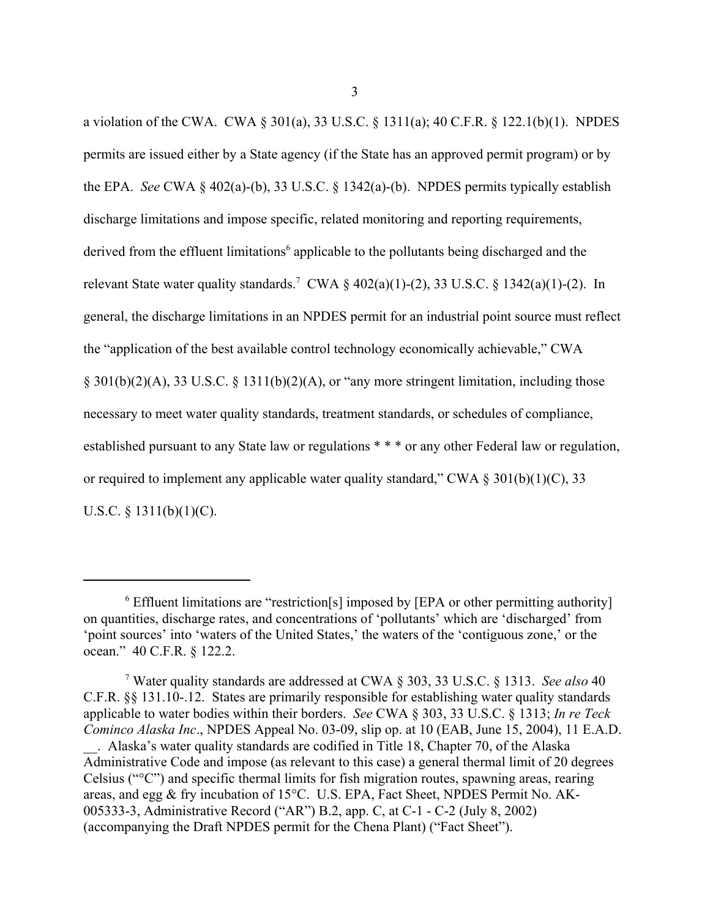a violation of the CWA. CWA § 301(a), 33 U.S.C. § 1311(a); 40 C.F.R. § 122.1(b)(1). NPDES permits are issued either by a State agency (if the State has an approved permit program) or by the EPA. *See* CWA § 402(a)-(b), 33 U.S.C. § 1342(a)-(b). NPDES permits typically establish discharge limitations and impose specific, related monitoring and reporting requirements, derived from the effluent limitations<sup>6</sup> applicable to the pollutants being discharged and the relevant State water quality standards.<sup>7</sup> CWA  $\S$  402(a)(1)-(2), 33 U.S.C.  $\S$  1342(a)(1)-(2). In general, the discharge limitations in an NPDES permit for an industrial point source must reflect the "application of the best available control technology economically achievable," CWA § 301(b)(2)(A), 33 U.S.C. § 1311(b)(2)(A), or "any more stringent limitation, including those necessary to meet water quality standards, treatment standards, or schedules of compliance, established pursuant to any State law or regulations \* \* \* or any other Federal law or regulation, or required to implement any applicable water quality standard," CWA  $\S 301(b)(1)(C)$ , 33 U.S.C. § 1311(b)(1)(C).

<sup>&</sup>lt;sup>6</sup> Effluent limitations are "restriction[s] imposed by [EPA or other permitting authority] on quantities, discharge rates, and concentrations of 'pollutants' which are 'discharged' from 'point sources' into 'waters of the United States,' the waters of the 'contiguous zone,' or the ocean." 40 C.F.R. § 122.2.

<sup>7</sup> Water quality standards are addressed at CWA § 303, 33 U.S.C. § 1313. *See also* 40 C.F.R. §§ 131.10-.12. States are primarily responsible for establishing water quality standards applicable to water bodies within their borders. *See* CWA § 303, 33 U.S.C. § 1313; *In re Teck Cominco Alaska Inc*., NPDES Appeal No. 03-09, slip op. at 10 (EAB, June 15, 2004), 11 E.A.D. \_\_. Alaska's water quality standards are codified in Title 18, Chapter 70, of the Alaska Administrative Code and impose (as relevant to this case) a general thermal limit of 20 degrees Celsius ("°C") and specific thermal limits for fish migration routes, spawning areas, rearing areas, and egg & fry incubation of 15°C. U.S. EPA, Fact Sheet, NPDES Permit No. AK-005333-3, Administrative Record ("AR") B.2, app. C, at C-1 - C-2 (July 8, 2002) (accompanying the Draft NPDES permit for the Chena Plant) ("Fact Sheet").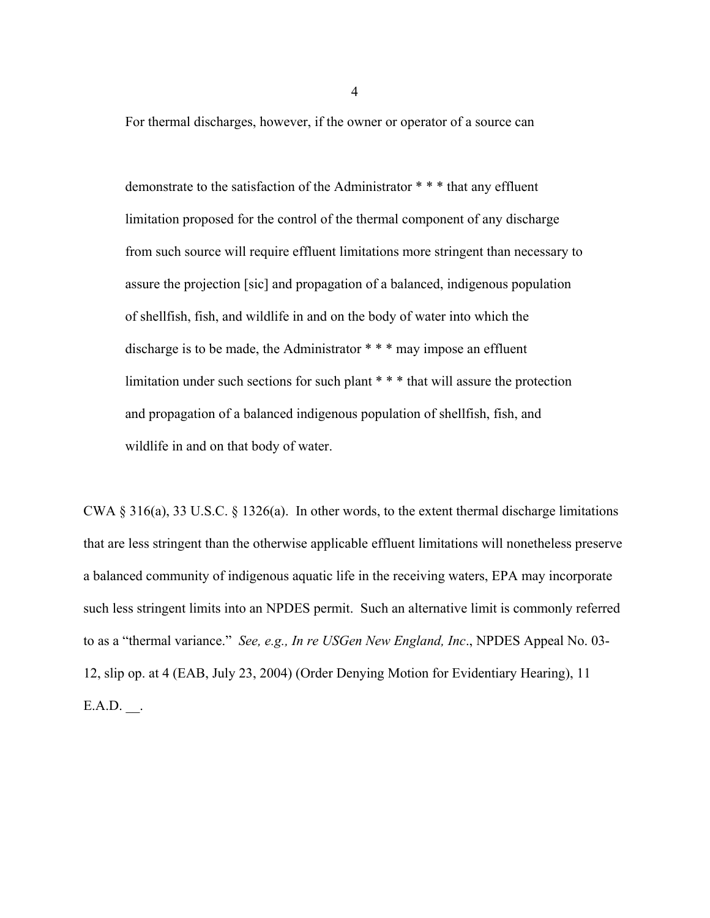For thermal discharges, however, if the owner or operator of a source can

demonstrate to the satisfaction of the Administrator \* \* \* that any effluent limitation proposed for the control of the thermal component of any discharge from such source will require effluent limitations more stringent than necessary to assure the projection [sic] and propagation of a balanced, indigenous population of shellfish, fish, and wildlife in and on the body of water into which the discharge is to be made, the Administrator \* \* \* may impose an effluent limitation under such sections for such plant \* \* \* that will assure the protection and propagation of a balanced indigenous population of shellfish, fish, and wildlife in and on that body of water.

CWA  $\S 316(a)$ , 33 U.S.C.  $\S 1326(a)$ . In other words, to the extent thermal discharge limitations that are less stringent than the otherwise applicable effluent limitations will nonetheless preserve a balanced community of indigenous aquatic life in the receiving waters, EPA may incorporate such less stringent limits into an NPDES permit. Such an alternative limit is commonly referred to as a "thermal variance." *See, e.g., In re USGen New England, Inc*., NPDES Appeal No. 03- 12, slip op. at 4 (EAB, July 23, 2004) (Order Denying Motion for Evidentiary Hearing), 11  $E.A.D.$ .

4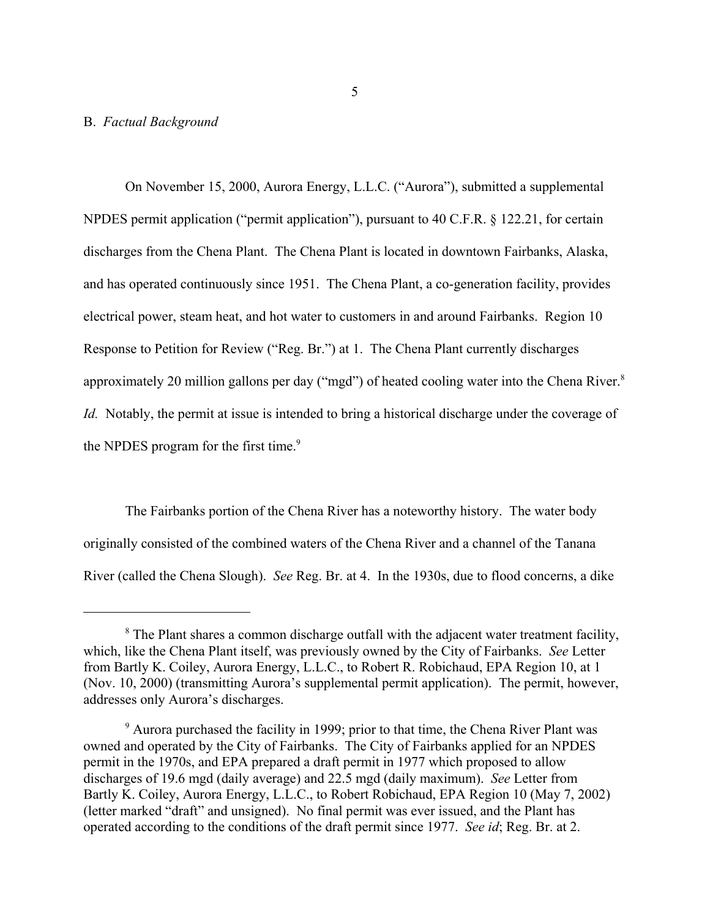### B. *Factual Background*

On November 15, 2000, Aurora Energy, L.L.C. ("Aurora"), submitted a supplemental NPDES permit application ("permit application"), pursuant to 40 C.F.R. § 122.21, for certain discharges from the Chena Plant. The Chena Plant is located in downtown Fairbanks, Alaska, and has operated continuously since 1951. The Chena Plant, a co-generation facility, provides electrical power, steam heat, and hot water to customers in and around Fairbanks. Region 10 Response to Petition for Review ("Reg. Br.") at 1. The Chena Plant currently discharges approximately 20 million gallons per day ("mgd") of heated cooling water into the Chena River.<sup>8</sup> *Id.* Notably, the permit at issue is intended to bring a historical discharge under the coverage of the NPDES program for the first time.<sup>9</sup>

The Fairbanks portion of the Chena River has a noteworthy history. The water body originally consisted of the combined waters of the Chena River and a channel of the Tanana River (called the Chena Slough). *See* Reg. Br. at 4. In the 1930s, due to flood concerns, a dike

<sup>&</sup>lt;sup>8</sup> The Plant shares a common discharge outfall with the adjacent water treatment facility, which, like the Chena Plant itself, was previously owned by the City of Fairbanks. *See* Letter from Bartly K. Coiley, Aurora Energy, L.L.C., to Robert R. Robichaud, EPA Region 10, at 1 (Nov. 10, 2000) (transmitting Aurora's supplemental permit application). The permit, however, addresses only Aurora's discharges.

<sup>&</sup>lt;sup>9</sup> Aurora purchased the facility in 1999; prior to that time, the Chena River Plant was owned and operated by the City of Fairbanks. The City of Fairbanks applied for an NPDES permit in the 1970s, and EPA prepared a draft permit in 1977 which proposed to allow discharges of 19.6 mgd (daily average) and 22.5 mgd (daily maximum). *See* Letter from Bartly K. Coiley, Aurora Energy, L.L.C., to Robert Robichaud, EPA Region 10 (May 7, 2002) (letter marked "draft" and unsigned). No final permit was ever issued, and the Plant has operated according to the conditions of the draft permit since 1977. *See id*; Reg. Br. at 2.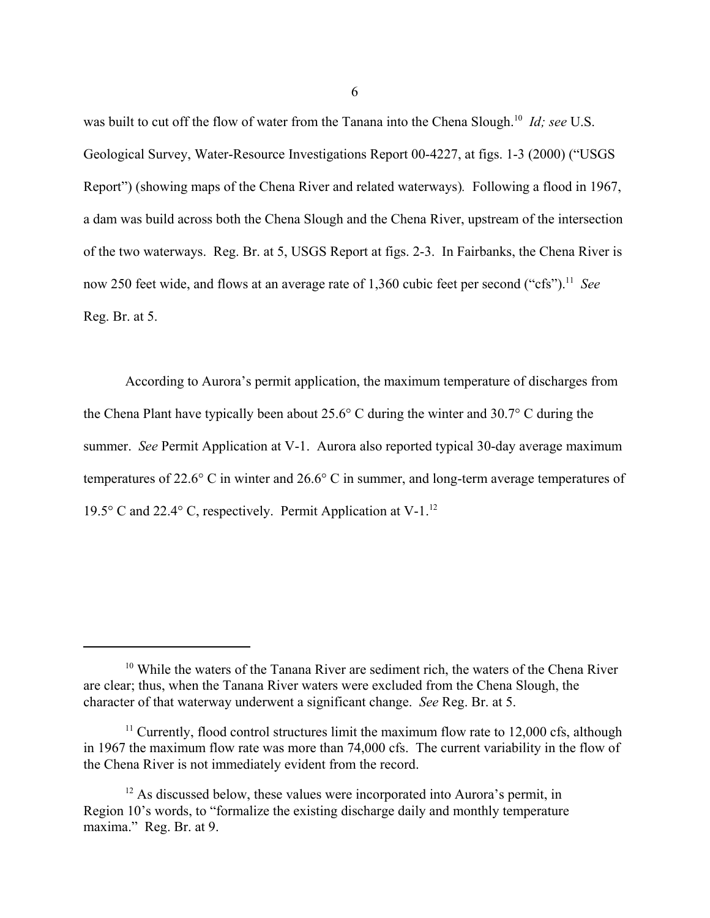was built to cut off the flow of water from the Tanana into the Chena Slough.10 *Id; see* U.S. Geological Survey, Water-Resource Investigations Report 00-4227, at figs. 1-3 (2000) ("USGS Report") (showing maps of the Chena River and related waterways)*.* Following a flood in 1967, a dam was build across both the Chena Slough and the Chena River, upstream of the intersection of the two waterways. Reg. Br. at 5, USGS Report at figs. 2-3. In Fairbanks, the Chena River is now 250 feet wide, and flows at an average rate of 1,360 cubic feet per second ("cfs").<sup>11</sup> *See* Reg. Br. at 5.

According to Aurora's permit application, the maximum temperature of discharges from the Chena Plant have typically been about 25.6° C during the winter and 30.7° C during the summer. *See* Permit Application at V-1. Aurora also reported typical 30-day average maximum temperatures of 22.6° C in winter and 26.6° C in summer, and long-term average temperatures of 19.5° C and 22.4° C, respectively. Permit Application at V-1. $^{12}$ 

 $10$  While the waters of the Tanana River are sediment rich, the waters of the Chena River are clear; thus, when the Tanana River waters were excluded from the Chena Slough, the character of that waterway underwent a significant change. *See* Reg. Br. at 5.

<sup>&</sup>lt;sup>11</sup> Currently, flood control structures limit the maximum flow rate to  $12,000$  cfs, although in 1967 the maximum flow rate was more than 74,000 cfs. The current variability in the flow of the Chena River is not immediately evident from the record.

 $12$  As discussed below, these values were incorporated into Aurora's permit, in Region 10's words, to "formalize the existing discharge daily and monthly temperature maxima." Reg. Br. at 9.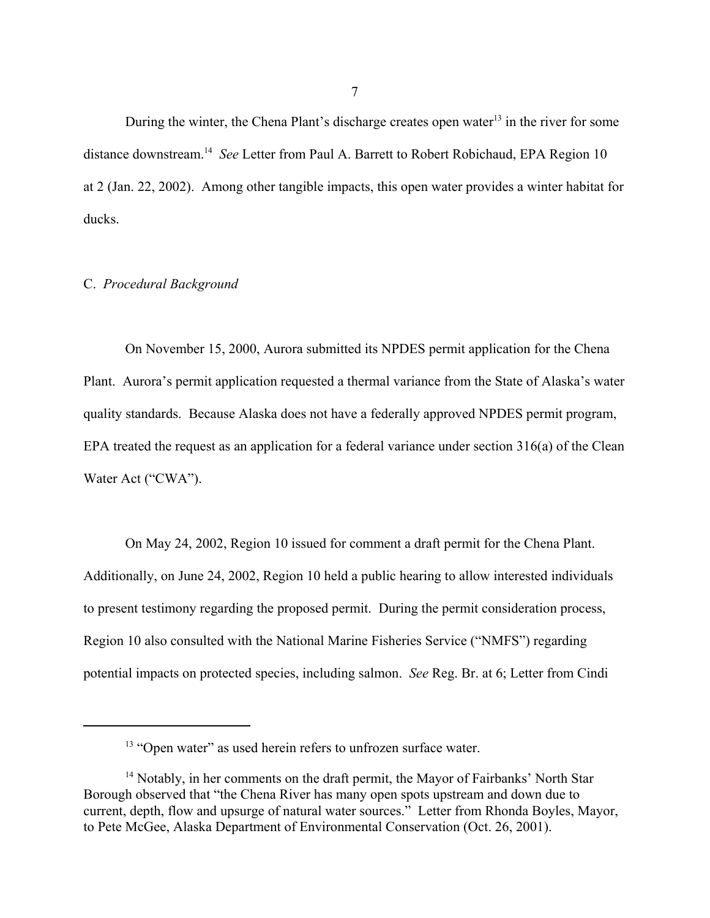During the winter, the Chena Plant's discharge creates open water<sup>13</sup> in the river for some distance downstream.14 *See* Letter from Paul A. Barrett to Robert Robichaud, EPA Region 10 at 2 (Jan. 22, 2002). Among other tangible impacts, this open water provides a winter habitat for ducks.

### C. *Procedural Background*

On November 15, 2000, Aurora submitted its NPDES permit application for the Chena Plant. Aurora's permit application requested a thermal variance from the State of Alaska's water quality standards. Because Alaska does not have a federally approved NPDES permit program, EPA treated the request as an application for a federal variance under section 316(a) of the Clean Water Act ("CWA").

On May 24, 2002, Region 10 issued for comment a draft permit for the Chena Plant. Additionally, on June 24, 2002, Region 10 held a public hearing to allow interested individuals to present testimony regarding the proposed permit. During the permit consideration process, Region 10 also consulted with the National Marine Fisheries Service ("NMFS") regarding potential impacts on protected species, including salmon. *See* Reg. Br. at 6; Letter from Cindi

<sup>&</sup>lt;sup>13</sup> "Open water" as used herein refers to unfrozen surface water.

<sup>&</sup>lt;sup>14</sup> Notably, in her comments on the draft permit, the Mayor of Fairbanks' North Star Borough observed that "the Chena River has many open spots upstream and down due to current, depth, flow and upsurge of natural water sources." Letter from Rhonda Boyles, Mayor, to Pete McGee, Alaska Department of Environmental Conservation (Oct. 26, 2001).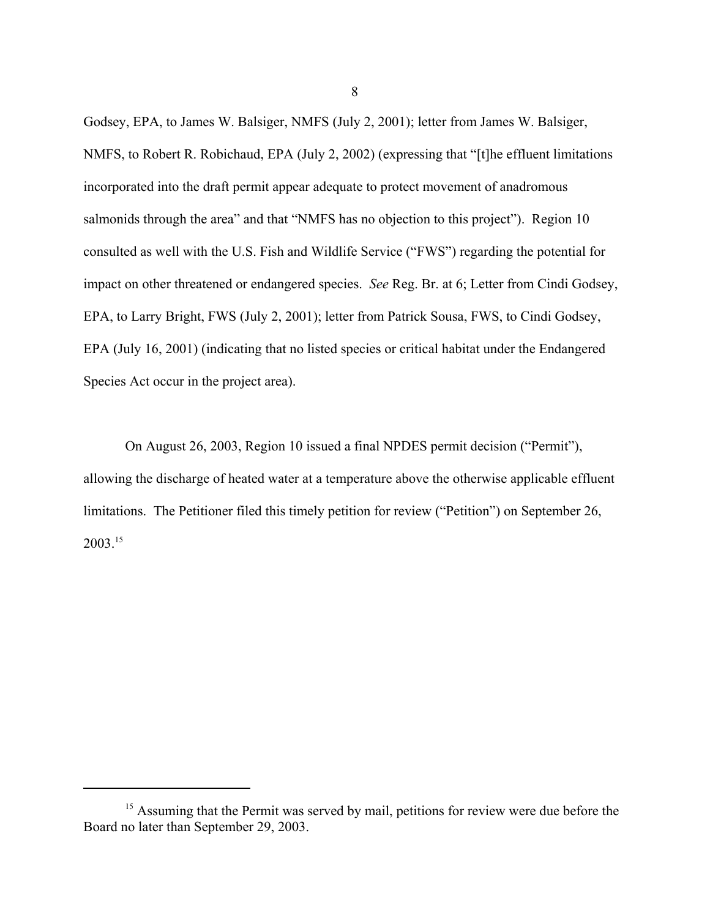Godsey, EPA, to James W. Balsiger, NMFS (July 2, 2001); letter from James W. Balsiger, NMFS, to Robert R. Robichaud, EPA (July 2, 2002) (expressing that "[t]he effluent limitations incorporated into the draft permit appear adequate to protect movement of anadromous salmonids through the area" and that "NMFS has no objection to this project"). Region 10 consulted as well with the U.S. Fish and Wildlife Service ("FWS") regarding the potential for impact on other threatened or endangered species. *See* Reg. Br. at 6; Letter from Cindi Godsey, EPA, to Larry Bright, FWS (July 2, 2001); letter from Patrick Sousa, FWS, to Cindi Godsey, EPA (July 16, 2001) (indicating that no listed species or critical habitat under the Endangered Species Act occur in the project area).

On August 26, 2003, Region 10 issued a final NPDES permit decision ("Permit"), allowing the discharge of heated water at a temperature above the otherwise applicable effluent limitations. The Petitioner filed this timely petition for review ("Petition") on September 26,  $2003^{15}$ 

8

<sup>&</sup>lt;sup>15</sup> Assuming that the Permit was served by mail, petitions for review were due before the Board no later than September 29, 2003.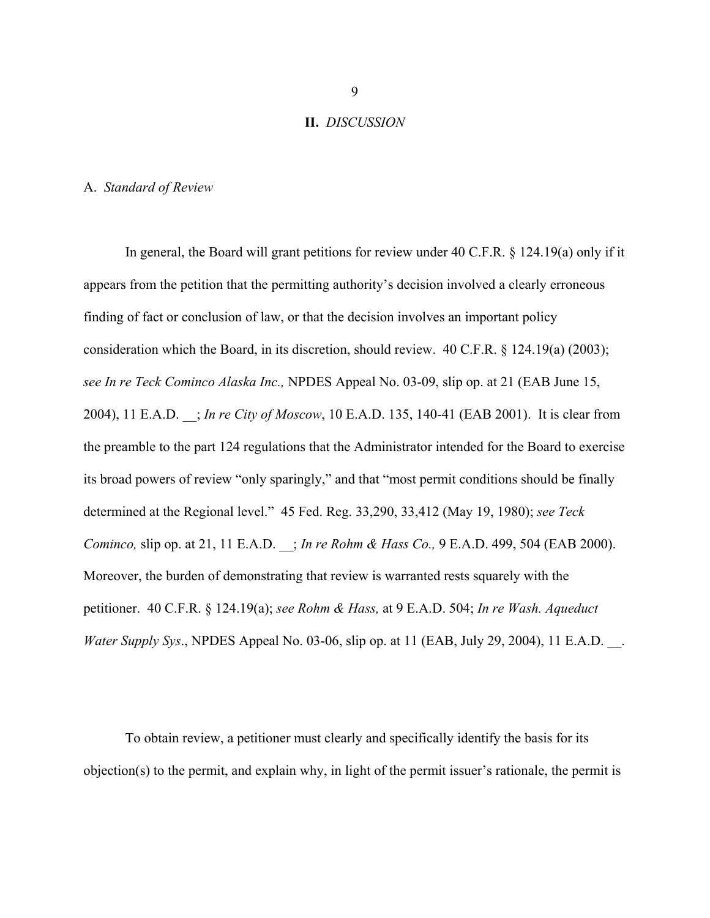#### **II.** *DISCUSSION*

### A. *Standard of Review*

In general, the Board will grant petitions for review under 40 C.F.R. § 124.19(a) only if it appears from the petition that the permitting authority's decision involved a clearly erroneous finding of fact or conclusion of law, or that the decision involves an important policy consideration which the Board, in its discretion, should review. 40 C.F.R. § 124.19(a) (2003); *see In re Teck Cominco Alaska Inc.,* NPDES Appeal No. 03-09, slip op. at 21 (EAB June 15, 2004), 11 E.A.D. \_\_; *In re City of Moscow*, 10 E.A.D. 135, 140-41 (EAB 2001). It is clear from the preamble to the part 124 regulations that the Administrator intended for the Board to exercise its broad powers of review "only sparingly," and that "most permit conditions should be finally determined at the Regional level." 45 Fed. Reg. 33,290, 33,412 (May 19, 1980); *see Teck Cominco,* slip op. at 21, 11 E.A.D. \_\_; *In re Rohm & Hass Co.,* 9 E.A.D. 499, 504 (EAB 2000). Moreover, the burden of demonstrating that review is warranted rests squarely with the petitioner. 40 C.F.R. § 124.19(a); *see Rohm & Hass,* at 9 E.A.D. 504; *In re Wash. Aqueduct Water Supply Sys.*, NPDES Appeal No. 03-06, slip op. at 11 (EAB, July 29, 2004), 11 E.A.D.

To obtain review, a petitioner must clearly and specifically identify the basis for its objection(s) to the permit, and explain why, in light of the permit issuer's rationale, the permit is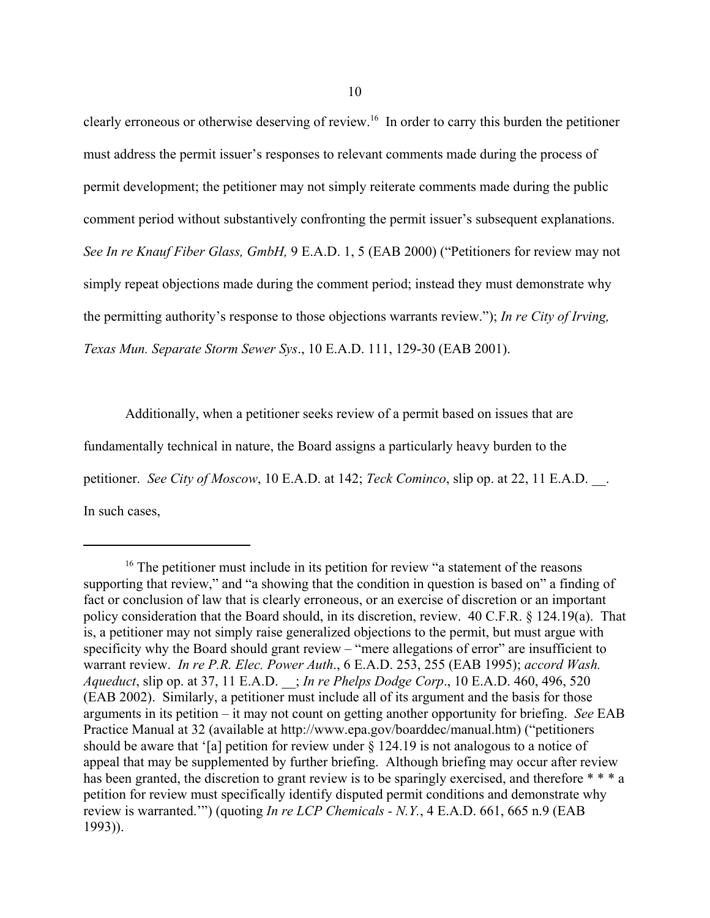clearly erroneous or otherwise deserving of review.16 In order to carry this burden the petitioner must address the permit issuer's responses to relevant comments made during the process of permit development; the petitioner may not simply reiterate comments made during the public comment period without substantively confronting the permit issuer's subsequent explanations. *See In re Knauf Fiber Glass, GmbH,* 9 E.A.D. 1, 5 (EAB 2000) ("Petitioners for review may not simply repeat objections made during the comment period; instead they must demonstrate why the permitting authority's response to those objections warrants review."); *In re City of Irving, Texas Mun. Separate Storm Sewer Sys*., 10 E.A.D. 111, 129-30 (EAB 2001).

Additionally, when a petitioner seeks review of a permit based on issues that are fundamentally technical in nature, the Board assigns a particularly heavy burden to the petitioner. *See City of Moscow*, 10 E.A.D. at 142; *Teck Cominco*, slip op. at 22, 11 E.A.D. \_\_. In such cases,

<sup>&</sup>lt;sup>16</sup> The petitioner must include in its petition for review "a statement of the reasons supporting that review," and "a showing that the condition in question is based on" a finding of fact or conclusion of law that is clearly erroneous, or an exercise of discretion or an important policy consideration that the Board should, in its discretion, review. 40 C.F.R. § 124.19(a). That is, a petitioner may not simply raise generalized objections to the permit, but must argue with specificity why the Board should grant review – "mere allegations of error" are insufficient to warrant review. *In re P.R. Elec. Power Auth*., 6 E.A.D. 253, 255 (EAB 1995); *accord Wash. Aqueduct*, slip op. at 37, 11 E.A.D. \_\_; *In re Phelps Dodge Corp*., 10 E.A.D. 460, 496, 520 (EAB 2002). Similarly, a petitioner must include all of its argument and the basis for those arguments in its petition – it may not count on getting another opportunity for briefing. *See* EAB Practice Manual at 32 (available at http://www.epa.gov/boarddec/manual.htm) ("petitioners should be aware that '[a] petition for review under § 124.19 is not analogous to a notice of appeal that may be supplemented by further briefing. Although briefing may occur after review has been granted, the discretion to grant review is to be sparingly exercised, and therefore \* \* \* a petition for review must specifically identify disputed permit conditions and demonstrate why review is warranted.'") (quoting *In re LCP Chemicals - N.Y.*, 4 E.A.D. 661, 665 n.9 (EAB 1993)).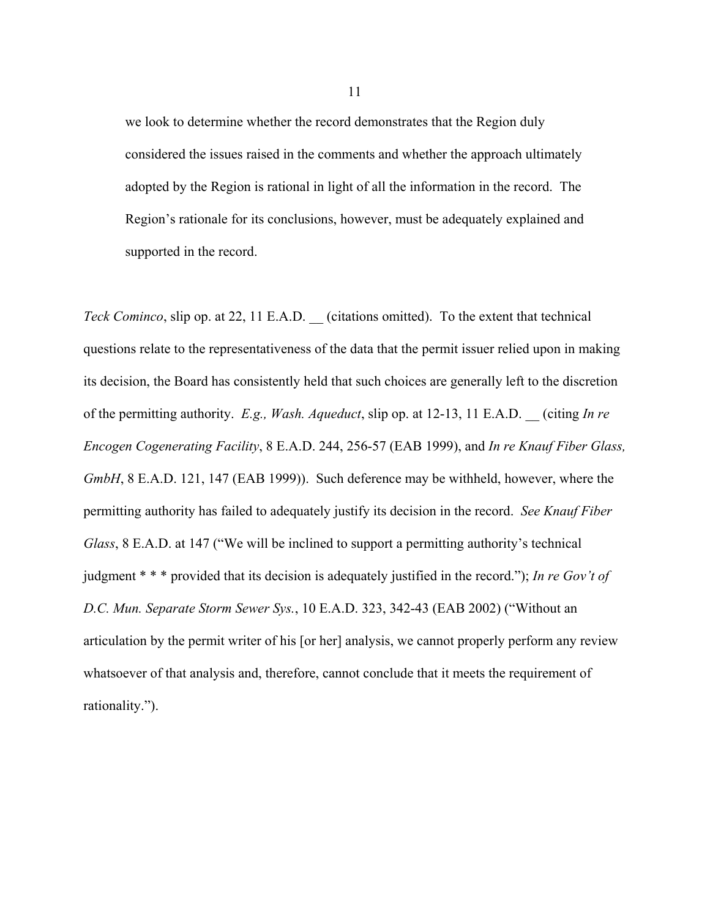we look to determine whether the record demonstrates that the Region duly considered the issues raised in the comments and whether the approach ultimately adopted by the Region is rational in light of all the information in the record. The Region's rationale for its conclusions, however, must be adequately explained and supported in the record.

*Teck Cominco*, slip op. at 22, 11 E.A.D. (citations omitted). To the extent that technical questions relate to the representativeness of the data that the permit issuer relied upon in making its decision, the Board has consistently held that such choices are generally left to the discretion of the permitting authority. *E.g., Wash. Aqueduct*, slip op. at 12-13, 11 E.A.D. \_\_ (citing *In re Encogen Cogenerating Facility*, 8 E.A.D. 244, 256-57 (EAB 1999), and *In re Knauf Fiber Glass, GmbH*, 8 E.A.D. 121, 147 (EAB 1999)). Such deference may be withheld, however, where the permitting authority has failed to adequately justify its decision in the record. *See Knauf Fiber Glass*, 8 E.A.D. at 147 ("We will be inclined to support a permitting authority's technical judgment \* \* \* provided that its decision is adequately justified in the record."); *In re Gov't of D.C. Mun. Separate Storm Sewer Sys.*, 10 E.A.D. 323, 342-43 (EAB 2002) ("Without an articulation by the permit writer of his [or her] analysis, we cannot properly perform any review whatsoever of that analysis and, therefore, cannot conclude that it meets the requirement of rationality.").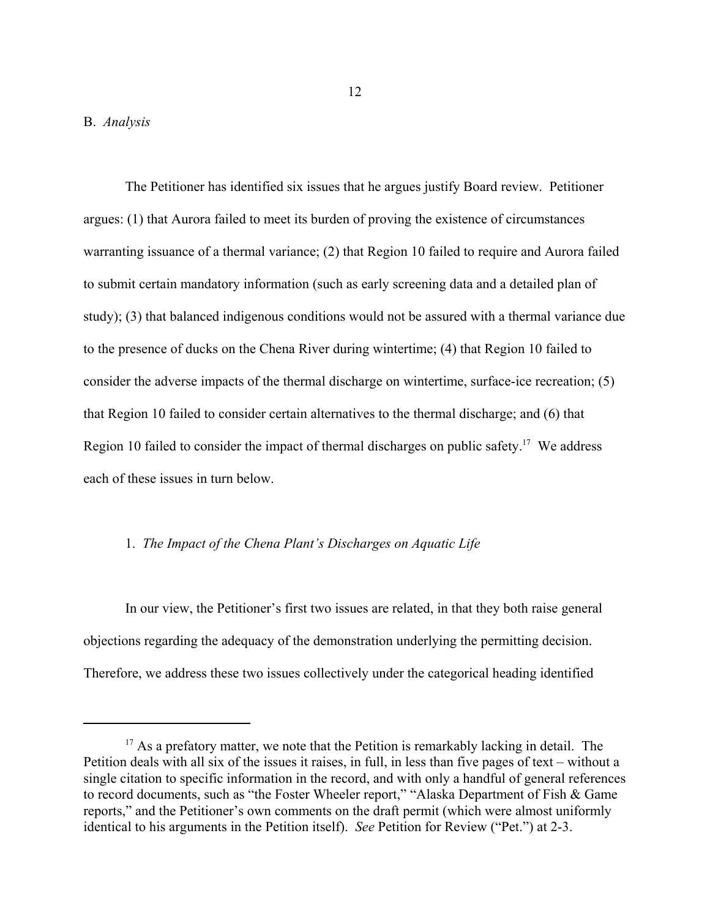The Petitioner has identified six issues that he argues justify Board review. Petitioner argues: (1) that Aurora failed to meet its burden of proving the existence of circumstances warranting issuance of a thermal variance; (2) that Region 10 failed to require and Aurora failed to submit certain mandatory information (such as early screening data and a detailed plan of study); (3) that balanced indigenous conditions would not be assured with a thermal variance due to the presence of ducks on the Chena River during wintertime; (4) that Region 10 failed to consider the adverse impacts of the thermal discharge on wintertime, surface-ice recreation; (5) that Region 10 failed to consider certain alternatives to the thermal discharge; and (6) that Region 10 failed to consider the impact of thermal discharges on public safety.<sup>17</sup> We address each of these issues in turn below.

### 1. *The Impact of the Chena Plant's Discharges on Aquatic Life*

In our view, the Petitioner's first two issues are related, in that they both raise general objections regarding the adequacy of the demonstration underlying the permitting decision. Therefore, we address these two issues collectively under the categorical heading identified

<sup>&</sup>lt;sup>17</sup> As a prefatory matter, we note that the Petition is remarkably lacking in detail. The Petition deals with all six of the issues it raises, in full, in less than five pages of text – without a single citation to specific information in the record, and with only a handful of general references to record documents, such as "the Foster Wheeler report," "Alaska Department of Fish & Game reports," and the Petitioner's own comments on the draft permit (which were almost uniformly identical to his arguments in the Petition itself). *See* Petition for Review ("Pet.") at 2-3.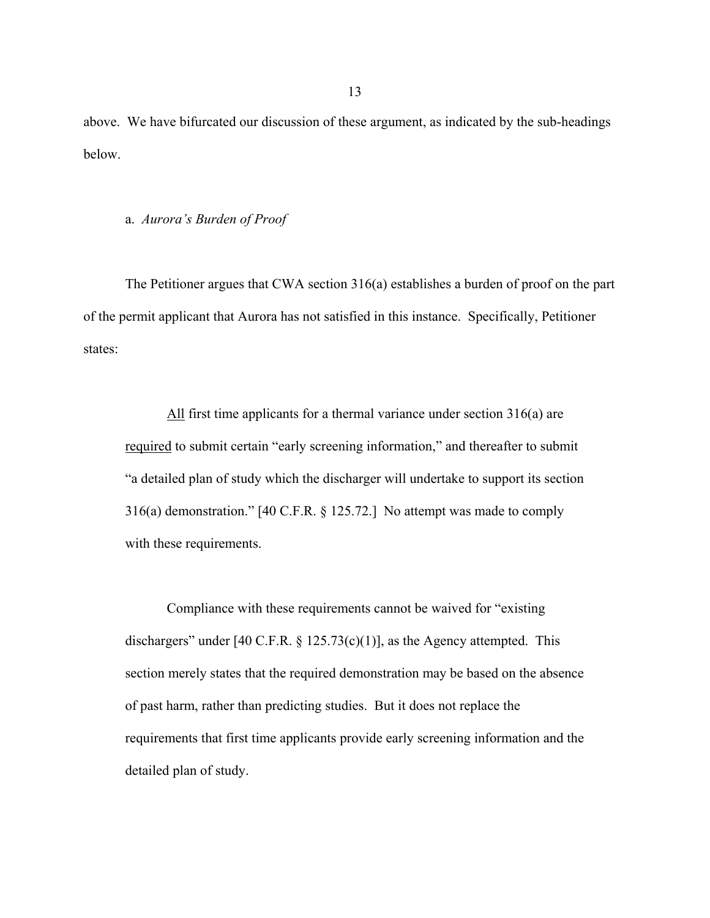above. We have bifurcated our discussion of these argument, as indicated by the sub-headings below.

#### a. *Aurora's Burden of Proof*

The Petitioner argues that CWA section 316(a) establishes a burden of proof on the part of the permit applicant that Aurora has not satisfied in this instance. Specifically, Petitioner states:

All first time applicants for a thermal variance under section 316(a) are required to submit certain "early screening information," and thereafter to submit "a detailed plan of study which the discharger will undertake to support its section 316(a) demonstration." [40 C.F.R. § 125.72.] No attempt was made to comply with these requirements.

Compliance with these requirements cannot be waived for "existing dischargers" under [40 C.F.R.  $\S$  125.73(c)(1)], as the Agency attempted. This section merely states that the required demonstration may be based on the absence of past harm, rather than predicting studies. But it does not replace the requirements that first time applicants provide early screening information and the detailed plan of study.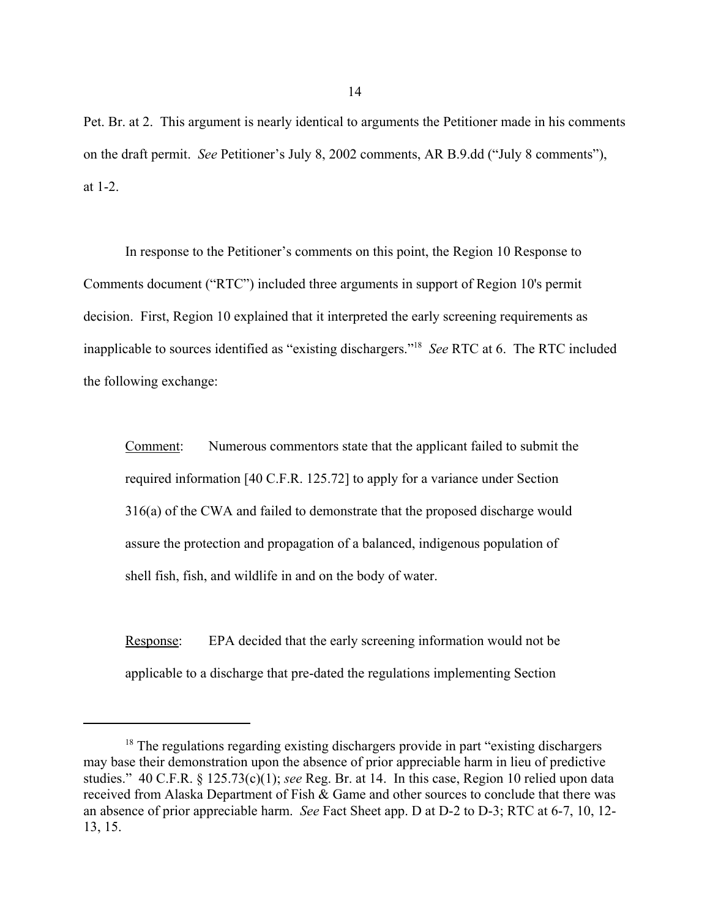Pet. Br. at 2. This argument is nearly identical to arguments the Petitioner made in his comments on the draft permit. *See* Petitioner's July 8, 2002 comments, AR B.9.dd ("July 8 comments"), at 1-2.

In response to the Petitioner's comments on this point, the Region 10 Response to Comments document ("RTC") included three arguments in support of Region 10's permit decision. First, Region 10 explained that it interpreted the early screening requirements as inapplicable to sources identified as "existing dischargers."18 *See* RTC at 6. The RTC included the following exchange:

Comment: Numerous commentors state that the applicant failed to submit the required information [40 C.F.R. 125.72] to apply for a variance under Section 316(a) of the CWA and failed to demonstrate that the proposed discharge would assure the protection and propagation of a balanced, indigenous population of shell fish, fish, and wildlife in and on the body of water.

Response: EPA decided that the early screening information would not be applicable to a discharge that pre-dated the regulations implementing Section

<sup>&</sup>lt;sup>18</sup> The regulations regarding existing dischargers provide in part "existing dischargers" may base their demonstration upon the absence of prior appreciable harm in lieu of predictive studies." 40 C.F.R. § 125.73(c)(1); *see* Reg. Br. at 14. In this case, Region 10 relied upon data received from Alaska Department of Fish & Game and other sources to conclude that there was an absence of prior appreciable harm. *See* Fact Sheet app. D at D-2 to D-3; RTC at 6-7, 10, 12- 13, 15.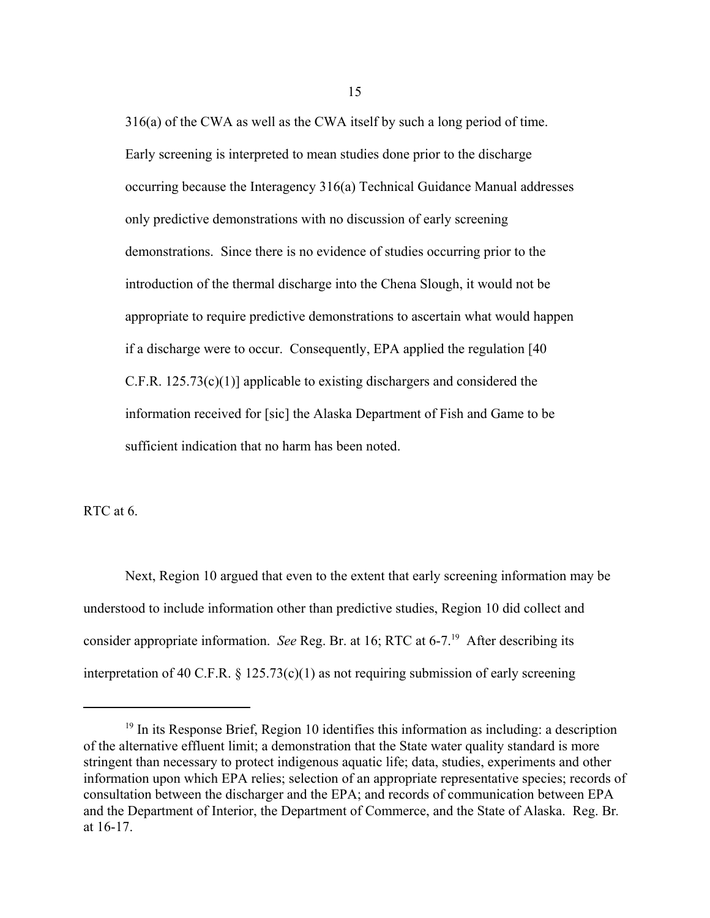316(a) of the CWA as well as the CWA itself by such a long period of time. Early screening is interpreted to mean studies done prior to the discharge occurring because the Interagency 316(a) Technical Guidance Manual addresses only predictive demonstrations with no discussion of early screening demonstrations. Since there is no evidence of studies occurring prior to the introduction of the thermal discharge into the Chena Slough, it would not be appropriate to require predictive demonstrations to ascertain what would happen if a discharge were to occur. Consequently, EPA applied the regulation [40 C.F.R. 125.73(c)(1)] applicable to existing dischargers and considered the information received for [sic] the Alaska Department of Fish and Game to be sufficient indication that no harm has been noted.

RTC at 6.

Next, Region 10 argued that even to the extent that early screening information may be understood to include information other than predictive studies, Region 10 did collect and consider appropriate information. *See* Reg. Br. at 16; RTC at 6-7.<sup>19</sup> After describing its interpretation of 40 C.F.R.  $\S$  125.73(c)(1) as not requiring submission of early screening

<sup>&</sup>lt;sup>19</sup> In its Response Brief, Region 10 identifies this information as including: a description of the alternative effluent limit; a demonstration that the State water quality standard is more stringent than necessary to protect indigenous aquatic life; data, studies, experiments and other information upon which EPA relies; selection of an appropriate representative species; records of consultation between the discharger and the EPA; and records of communication between EPA and the Department of Interior, the Department of Commerce, and the State of Alaska. Reg. Br*.* at 16-17.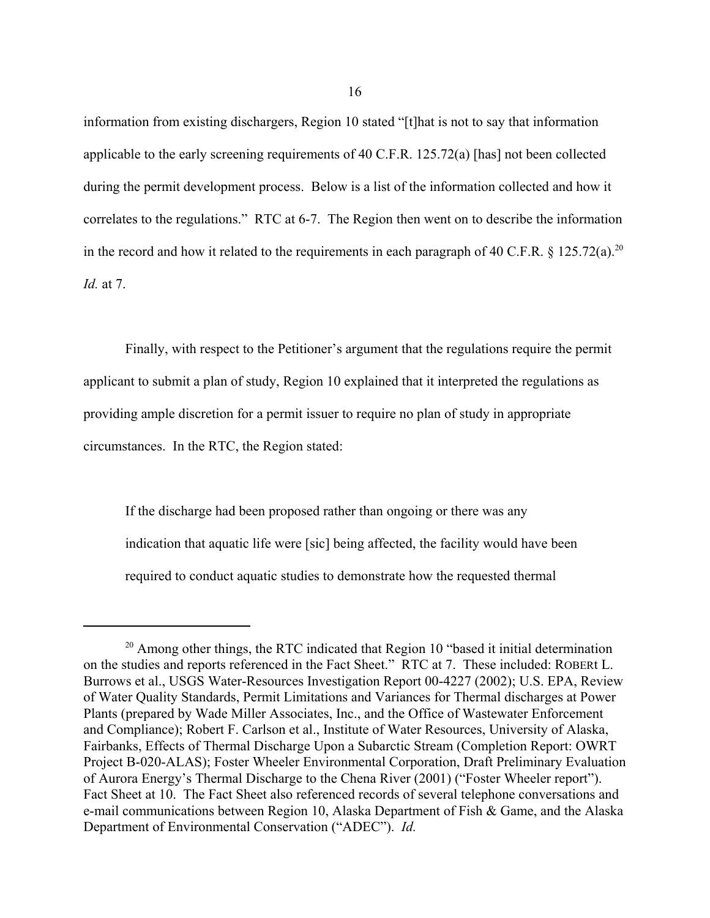information from existing dischargers, Region 10 stated "[t]hat is not to say that information applicable to the early screening requirements of 40 C.F.R. 125.72(a) [has] not been collected during the permit development process. Below is a list of the information collected and how it correlates to the regulations." RTC at 6-7. The Region then went on to describe the information in the record and how it related to the requirements in each paragraph of 40 C.F.R.  $\frac{125.72(a)}{20}$ *Id.* at 7.

Finally, with respect to the Petitioner's argument that the regulations require the permit applicant to submit a plan of study, Region 10 explained that it interpreted the regulations as providing ample discretion for a permit issuer to require no plan of study in appropriate circumstances. In the RTC, the Region stated:

If the discharge had been proposed rather than ongoing or there was any indication that aquatic life were [sic] being affected, the facility would have been required to conduct aquatic studies to demonstrate how the requested thermal

<sup>&</sup>lt;sup>20</sup> Among other things, the RTC indicated that Region 10 "based it initial determination on the studies and reports referenced in the Fact Sheet." RTC at 7. These included: ROBERt L. Burrows et al., USGS Water-Resources Investigation Report 00-4227 (2002); U.S. EPA, Review of Water Quality Standards, Permit Limitations and Variances for Thermal discharges at Power Plants (prepared by Wade Miller Associates, Inc., and the Office of Wastewater Enforcement and Compliance); Robert F. Carlson et al., Institute of Water Resources, University of Alaska, Fairbanks, Effects of Thermal Discharge Upon a Subarctic Stream (Completion Report: OWRT Project B-020-ALAS); Foster Wheeler Environmental Corporation, Draft Preliminary Evaluation of Aurora Energy's Thermal Discharge to the Chena River (2001) ("Foster Wheeler report"). Fact Sheet at 10. The Fact Sheet also referenced records of several telephone conversations and e-mail communications between Region 10, Alaska Department of Fish & Game, and the Alaska Department of Environmental Conservation ("ADEC"). *Id.*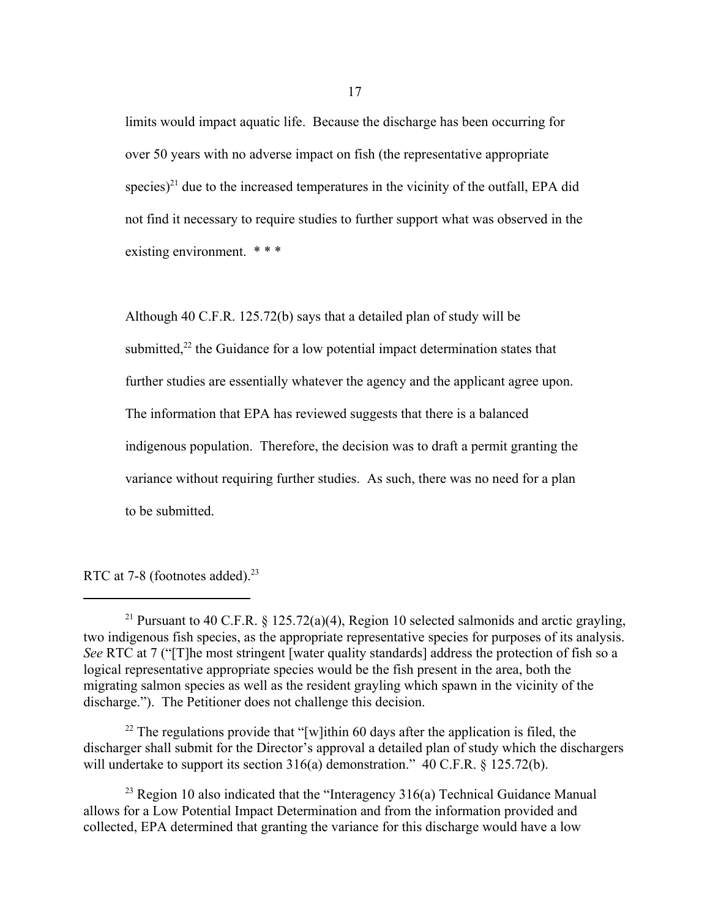limits would impact aquatic life. Because the discharge has been occurring for over 50 years with no adverse impact on fish (the representative appropriate species)<sup>21</sup> due to the increased temperatures in the vicinity of the outfall. EPA did not find it necessary to require studies to further support what was observed in the existing environment. \* \* \*

Although 40 C.F.R. 125.72(b) says that a detailed plan of study will be submitted, $^{22}$  the Guidance for a low potential impact determination states that further studies are essentially whatever the agency and the applicant agree upon. The information that EPA has reviewed suggests that there is a balanced indigenous population. Therefore, the decision was to draft a permit granting the variance without requiring further studies. As such, there was no need for a plan to be submitted.

RTC at 7-8 (footnotes added).<sup>23</sup>

 $22$  The regulations provide that "[w]ithin 60 days after the application is filed, the discharger shall submit for the Director's approval a detailed plan of study which the dischargers will undertake to support its section 316(a) demonstration." 40 C.F.R. § 125.72(b).

 $^{23}$  Region 10 also indicated that the "Interagency 316(a) Technical Guidance Manual allows for a Low Potential Impact Determination and from the information provided and collected, EPA determined that granting the variance for this discharge would have a low

<sup>&</sup>lt;sup>21</sup> Pursuant to 40 C.F.R.  $\frac{125.72(a)(4)}{24}$ , Region 10 selected salmonids and arctic grayling, two indigenous fish species, as the appropriate representative species for purposes of its analysis. *See* RTC at 7 ("[T]he most stringent [water quality standards] address the protection of fish so a logical representative appropriate species would be the fish present in the area, both the migrating salmon species as well as the resident grayling which spawn in the vicinity of the discharge."). The Petitioner does not challenge this decision.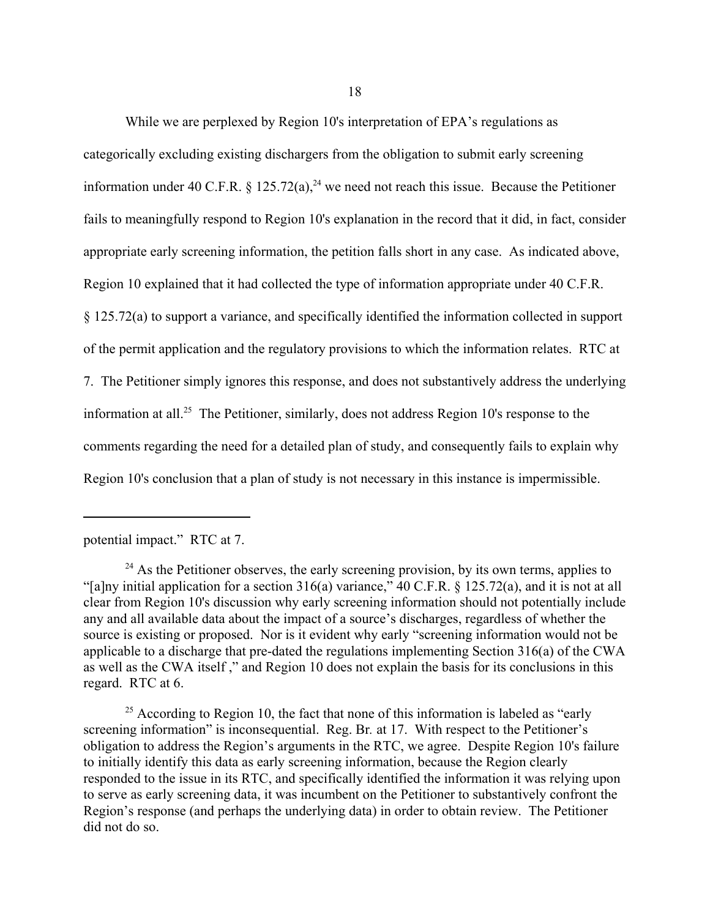While we are perplexed by Region 10's interpretation of EPA's regulations as categorically excluding existing dischargers from the obligation to submit early screening information under 40 C.F.R.  $\S$  125.72(a),<sup>24</sup> we need not reach this issue. Because the Petitioner fails to meaningfully respond to Region 10's explanation in the record that it did, in fact, consider appropriate early screening information, the petition falls short in any case. As indicated above, Region 10 explained that it had collected the type of information appropriate under 40 C.F.R. § 125.72(a) to support a variance, and specifically identified the information collected in support of the permit application and the regulatory provisions to which the information relates. RTC at 7. The Petitioner simply ignores this response, and does not substantively address the underlying information at all.25 The Petitioner, similarly, does not address Region 10's response to the comments regarding the need for a detailed plan of study, and consequently fails to explain why Region 10's conclusion that a plan of study is not necessary in this instance is impermissible.

potential impact." RTC at 7.

 $24$  As the Petitioner observes, the early screening provision, by its own terms, applies to "[a]ny initial application for a section 316(a) variance," 40 C.F.R. § 125.72(a), and it is not at all clear from Region 10's discussion why early screening information should not potentially include any and all available data about the impact of a source's discharges, regardless of whether the source is existing or proposed. Nor is it evident why early "screening information would not be applicable to a discharge that pre-dated the regulations implementing Section 316(a) of the CWA as well as the CWA itself ," and Region 10 does not explain the basis for its conclusions in this regard. RTC at 6.

 $25$  According to Region 10, the fact that none of this information is labeled as "early" screening information" is inconsequential. Reg. Br*.* at 17. With respect to the Petitioner's obligation to address the Region's arguments in the RTC, we agree. Despite Region 10's failure to initially identify this data as early screening information, because the Region clearly responded to the issue in its RTC, and specifically identified the information it was relying upon to serve as early screening data, it was incumbent on the Petitioner to substantively confront the Region's response (and perhaps the underlying data) in order to obtain review. The Petitioner did not do so.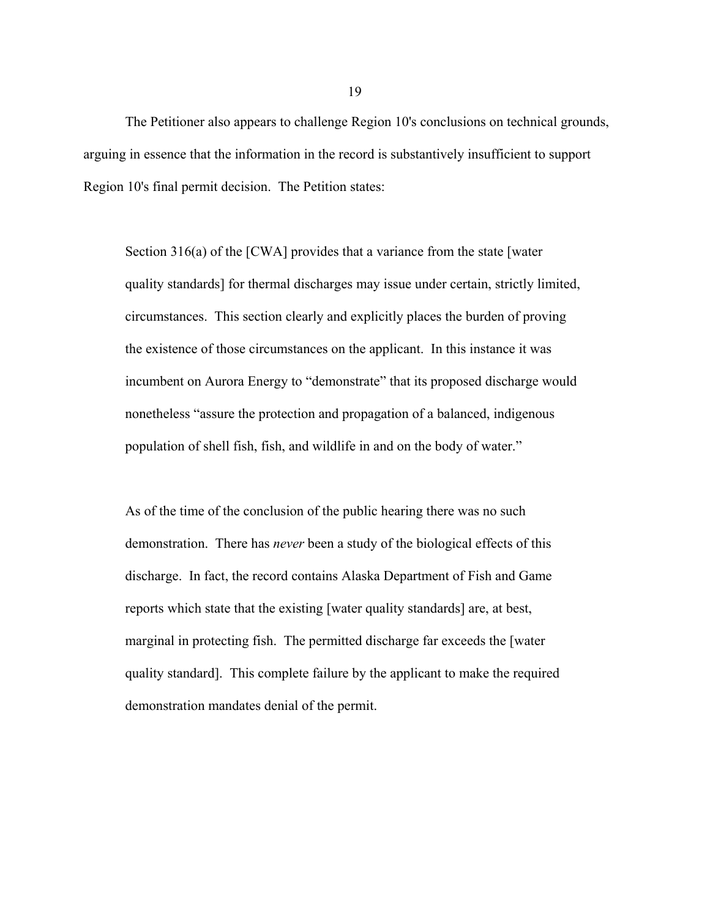The Petitioner also appears to challenge Region 10's conclusions on technical grounds, arguing in essence that the information in the record is substantively insufficient to support Region 10's final permit decision. The Petition states:

Section 316(a) of the [CWA] provides that a variance from the state [water quality standards] for thermal discharges may issue under certain, strictly limited, circumstances. This section clearly and explicitly places the burden of proving the existence of those circumstances on the applicant. In this instance it was incumbent on Aurora Energy to "demonstrate" that its proposed discharge would nonetheless "assure the protection and propagation of a balanced, indigenous population of shell fish, fish, and wildlife in and on the body of water."

As of the time of the conclusion of the public hearing there was no such demonstration. There has *never* been a study of the biological effects of this discharge. In fact, the record contains Alaska Department of Fish and Game reports which state that the existing [water quality standards] are, at best, marginal in protecting fish. The permitted discharge far exceeds the [water quality standard]. This complete failure by the applicant to make the required demonstration mandates denial of the permit.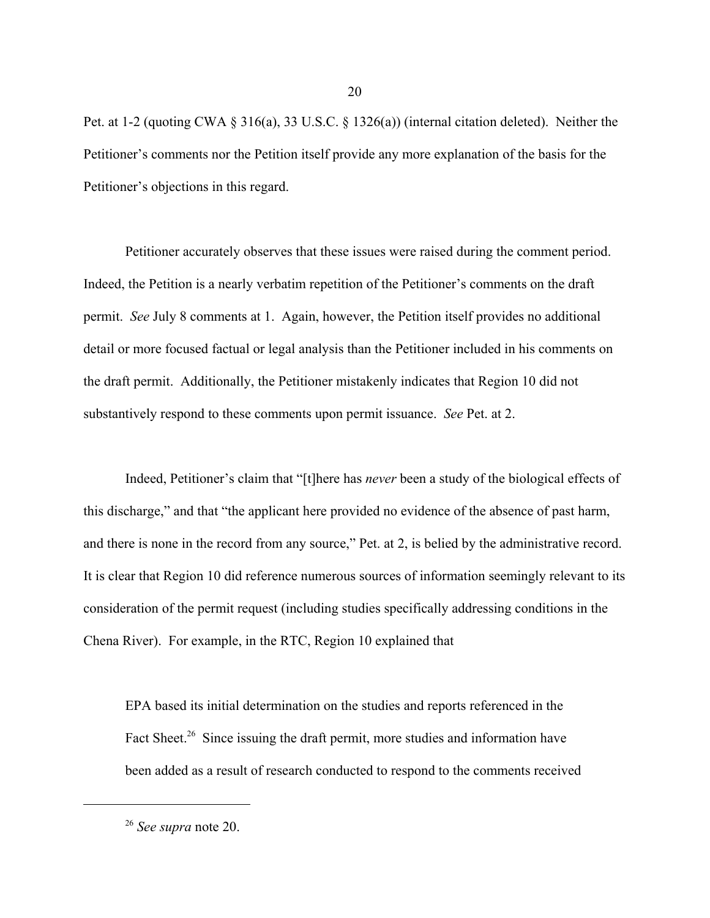Pet. at 1-2 (quoting CWA § 316(a), 33 U.S.C. § 1326(a)) (internal citation deleted). Neither the Petitioner's comments nor the Petition itself provide any more explanation of the basis for the Petitioner's objections in this regard.

Petitioner accurately observes that these issues were raised during the comment period. Indeed, the Petition is a nearly verbatim repetition of the Petitioner's comments on the draft permit. *See* July 8 comments at 1. Again, however, the Petition itself provides no additional detail or more focused factual or legal analysis than the Petitioner included in his comments on the draft permit. Additionally, the Petitioner mistakenly indicates that Region 10 did not substantively respond to these comments upon permit issuance. *See* Pet. at 2.

Indeed, Petitioner's claim that "[t]here has *never* been a study of the biological effects of this discharge," and that "the applicant here provided no evidence of the absence of past harm, and there is none in the record from any source," Pet. at 2, is belied by the administrative record. It is clear that Region 10 did reference numerous sources of information seemingly relevant to its consideration of the permit request (including studies specifically addressing conditions in the Chena River). For example, in the RTC, Region 10 explained that

EPA based its initial determination on the studies and reports referenced in the Fact Sheet.<sup>26</sup> Since issuing the draft permit, more studies and information have been added as a result of research conducted to respond to the comments received

20

<sup>26</sup> *See supra* note 20.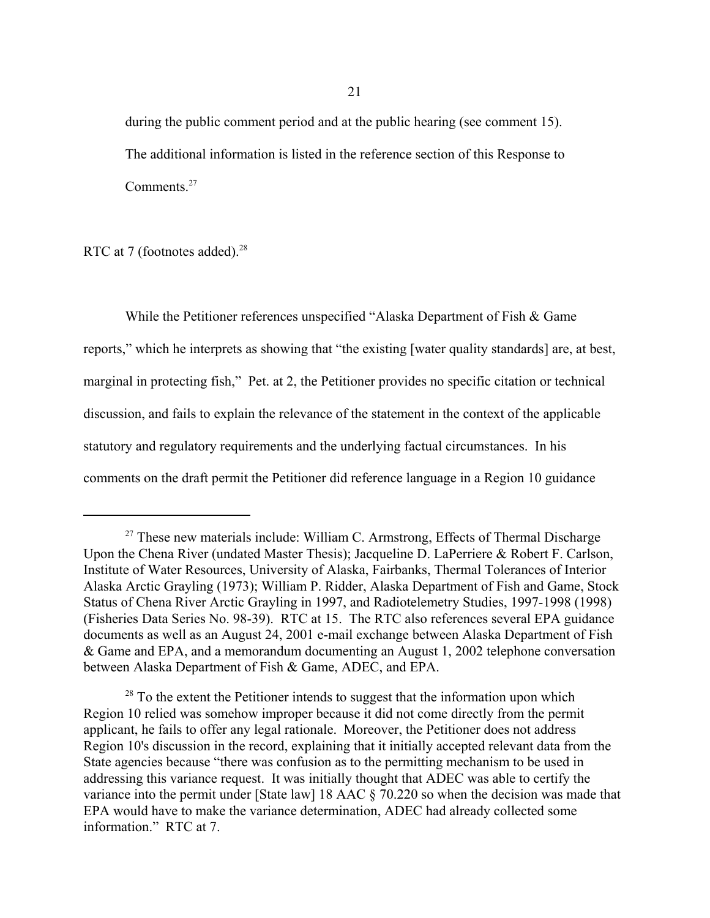during the public comment period and at the public hearing (see comment 15). The additional information is listed in the reference section of this Response to Comments.<sup>27</sup>

RTC at 7 (footnotes added).<sup>28</sup>

While the Petitioner references unspecified "Alaska Department of Fish & Game reports," which he interprets as showing that "the existing [water quality standards] are, at best, marginal in protecting fish," Pet. at 2, the Petitioner provides no specific citation or technical discussion, and fails to explain the relevance of the statement in the context of the applicable statutory and regulatory requirements and the underlying factual circumstances. In his comments on the draft permit the Petitioner did reference language in a Region 10 guidance

 $27$  These new materials include: William C. Armstrong, Effects of Thermal Discharge Upon the Chena River (undated Master Thesis); Jacqueline D. LaPerriere & Robert F. Carlson, Institute of Water Resources, University of Alaska, Fairbanks, Thermal Tolerances of Interior Alaska Arctic Grayling (1973); William P. Ridder, Alaska Department of Fish and Game, Stock Status of Chena River Arctic Grayling in 1997, and Radiotelemetry Studies, 1997-1998 (1998) (Fisheries Data Series No. 98-39). RTC at 15. The RTC also references several EPA guidance documents as well as an August 24, 2001 e-mail exchange between Alaska Department of Fish & Game and EPA, and a memorandum documenting an August 1, 2002 telephone conversation between Alaska Department of Fish & Game, ADEC, and EPA.

 $28$  To the extent the Petitioner intends to suggest that the information upon which Region 10 relied was somehow improper because it did not come directly from the permit applicant, he fails to offer any legal rationale. Moreover, the Petitioner does not address Region 10's discussion in the record, explaining that it initially accepted relevant data from the State agencies because "there was confusion as to the permitting mechanism to be used in addressing this variance request. It was initially thought that ADEC was able to certify the variance into the permit under [State law] 18 AAC § 70.220 so when the decision was made that EPA would have to make the variance determination, ADEC had already collected some information." RTC at 7.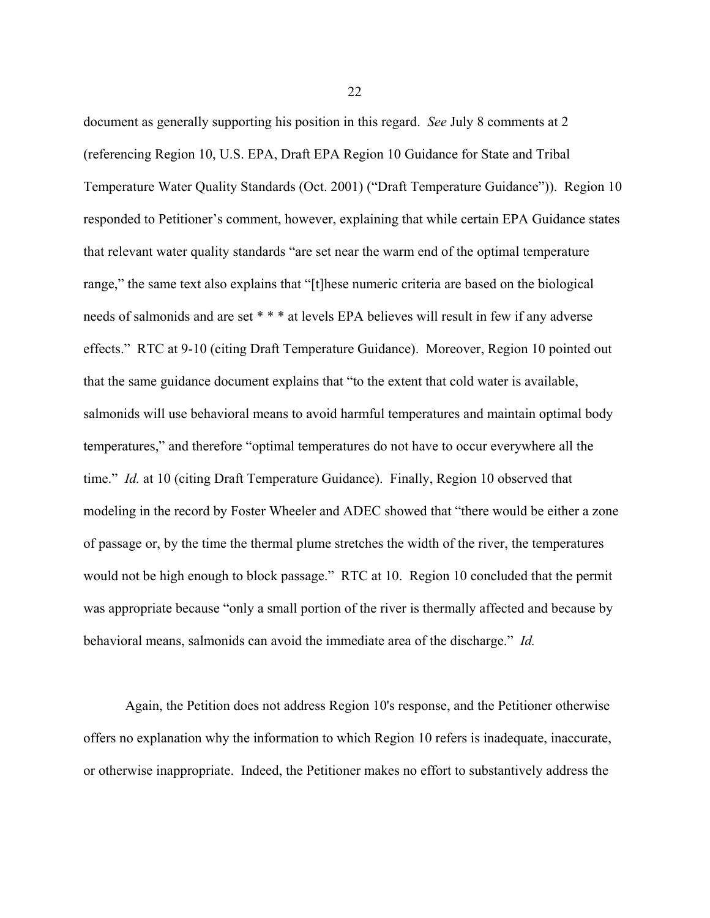document as generally supporting his position in this regard. *See* July 8 comments at 2 (referencing Region 10, U.S. EPA, Draft EPA Region 10 Guidance for State and Tribal Temperature Water Quality Standards (Oct. 2001) ("Draft Temperature Guidance")). Region 10 responded to Petitioner's comment, however, explaining that while certain EPA Guidance states that relevant water quality standards "are set near the warm end of the optimal temperature range," the same text also explains that "[t]hese numeric criteria are based on the biological needs of salmonids and are set \* \* \* at levels EPA believes will result in few if any adverse effects." RTC at 9-10 (citing Draft Temperature Guidance). Moreover, Region 10 pointed out that the same guidance document explains that "to the extent that cold water is available, salmonids will use behavioral means to avoid harmful temperatures and maintain optimal body temperatures," and therefore "optimal temperatures do not have to occur everywhere all the time." *Id.* at 10 (citing Draft Temperature Guidance). Finally, Region 10 observed that modeling in the record by Foster Wheeler and ADEC showed that "there would be either a zone of passage or, by the time the thermal plume stretches the width of the river, the temperatures would not be high enough to block passage." RTC at 10. Region 10 concluded that the permit was appropriate because "only a small portion of the river is thermally affected and because by behavioral means, salmonids can avoid the immediate area of the discharge." *Id.*

Again, the Petition does not address Region 10's response, and the Petitioner otherwise offers no explanation why the information to which Region 10 refers is inadequate, inaccurate, or otherwise inappropriate. Indeed, the Petitioner makes no effort to substantively address the

22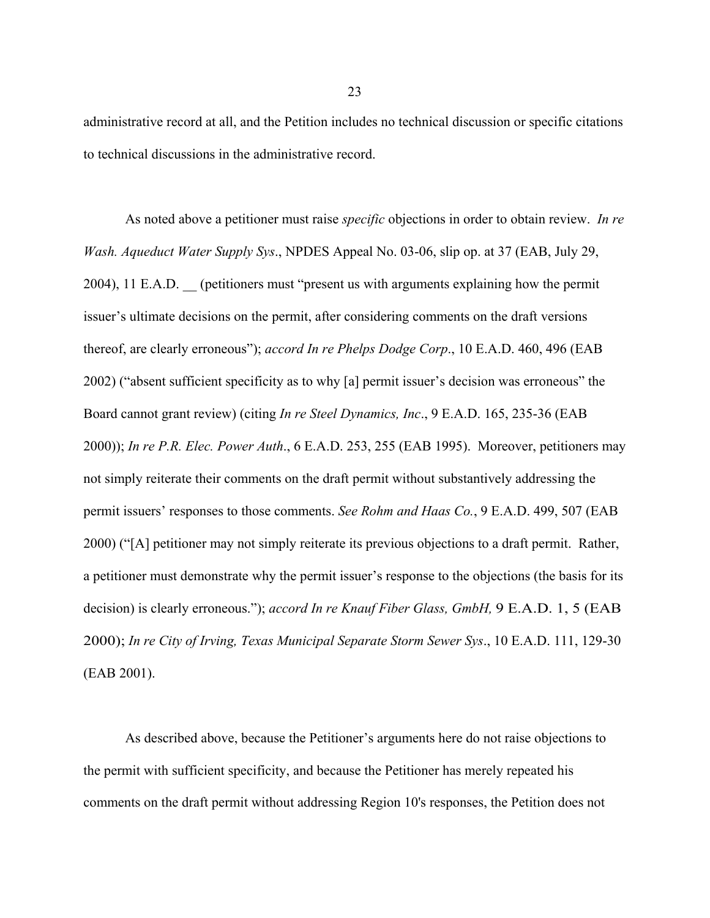administrative record at all, and the Petition includes no technical discussion or specific citations to technical discussions in the administrative record.

As noted above a petitioner must raise *specific* objections in order to obtain review. *In re Wash. Aqueduct Water Supply Sys*., NPDES Appeal No. 03-06, slip op. at 37 (EAB, July 29, 2004), 11 E.A.D. \_\_ (petitioners must "present us with arguments explaining how the permit issuer's ultimate decisions on the permit, after considering comments on the draft versions thereof, are clearly erroneous"); *accord In re Phelps Dodge Corp*., 10 E.A.D. 460, 496 (EAB 2002) ("absent sufficient specificity as to why [a] permit issuer's decision was erroneous" the Board cannot grant review) (citing *In re Steel Dynamics, Inc*., 9 E.A.D. 165, 235-36 (EAB 2000)); *In re P.R. Elec. Power Auth*., 6 E.A.D. 253, 255 (EAB 1995). Moreover, petitioners may not simply reiterate their comments on the draft permit without substantively addressing the permit issuers' responses to those comments. *See Rohm and Haas Co.*, 9 E.A.D. 499, 507 (EAB 2000) ("[A] petitioner may not simply reiterate its previous objections to a draft permit. Rather, a petitioner must demonstrate why the permit issuer's response to the objections (the basis for its decision) is clearly erroneous."); *accord In re Knauf Fiber Glass, GmbH,* 9 E.A.D. 1, 5 (EAB 2000); *In re City of Irving, Texas Municipal Separate Storm Sewer Sys*., 10 E.A.D. 111, 129-30 (EAB 2001).

As described above, because the Petitioner's arguments here do not raise objections to the permit with sufficient specificity, and because the Petitioner has merely repeated his comments on the draft permit without addressing Region 10's responses, the Petition does not

23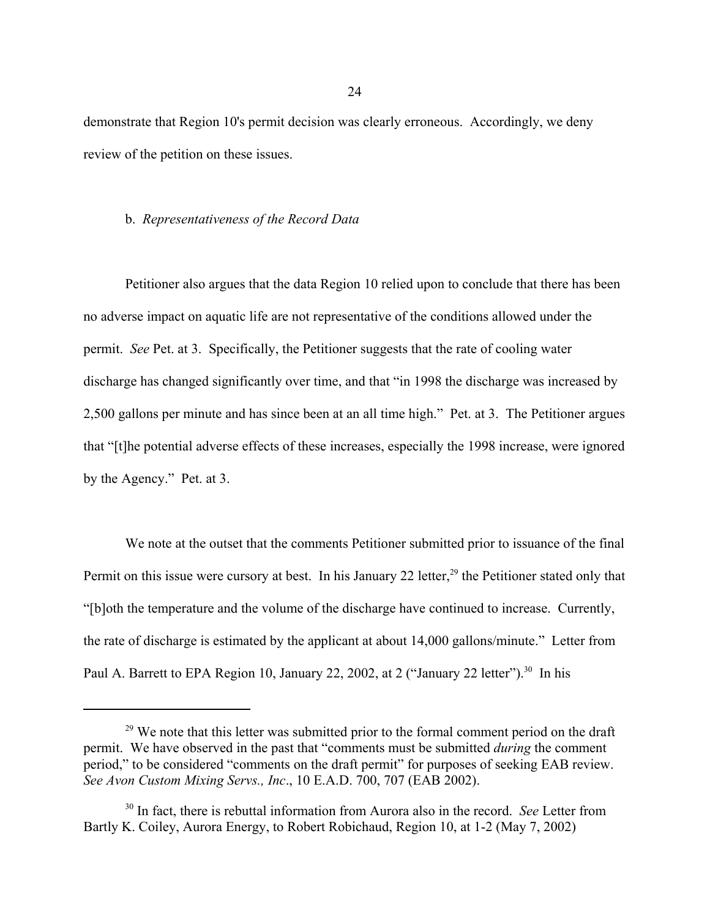demonstrate that Region 10's permit decision was clearly erroneous. Accordingly, we deny review of the petition on these issues.

### b. *Representativeness of the Record Data*

Petitioner also argues that the data Region 10 relied upon to conclude that there has been no adverse impact on aquatic life are not representative of the conditions allowed under the permit. *See* Pet. at 3. Specifically, the Petitioner suggests that the rate of cooling water discharge has changed significantly over time, and that "in 1998 the discharge was increased by 2,500 gallons per minute and has since been at an all time high." Pet. at 3. The Petitioner argues that "[t]he potential adverse effects of these increases, especially the 1998 increase, were ignored by the Agency." Pet. at 3.

We note at the outset that the comments Petitioner submitted prior to issuance of the final Permit on this issue were cursory at best. In his January 22 letter,<sup>29</sup> the Petitioner stated only that "[b]oth the temperature and the volume of the discharge have continued to increase. Currently, the rate of discharge is estimated by the applicant at about 14,000 gallons/minute." Letter from Paul A. Barrett to EPA Region 10, January 22, 2002, at 2 ("January 22 letter").<sup>30</sup> In his

<sup>&</sup>lt;sup>29</sup> We note that this letter was submitted prior to the formal comment period on the draft permit. We have observed in the past that "comments must be submitted *during* the comment period," to be considered "comments on the draft permit" for purposes of seeking EAB review. *See Avon Custom Mixing Servs., Inc*., 10 E.A.D. 700, 707 (EAB 2002).

<sup>30</sup> In fact, there is rebuttal information from Aurora also in the record. *See* Letter from Bartly K. Coiley, Aurora Energy, to Robert Robichaud, Region 10, at 1-2 (May 7, 2002)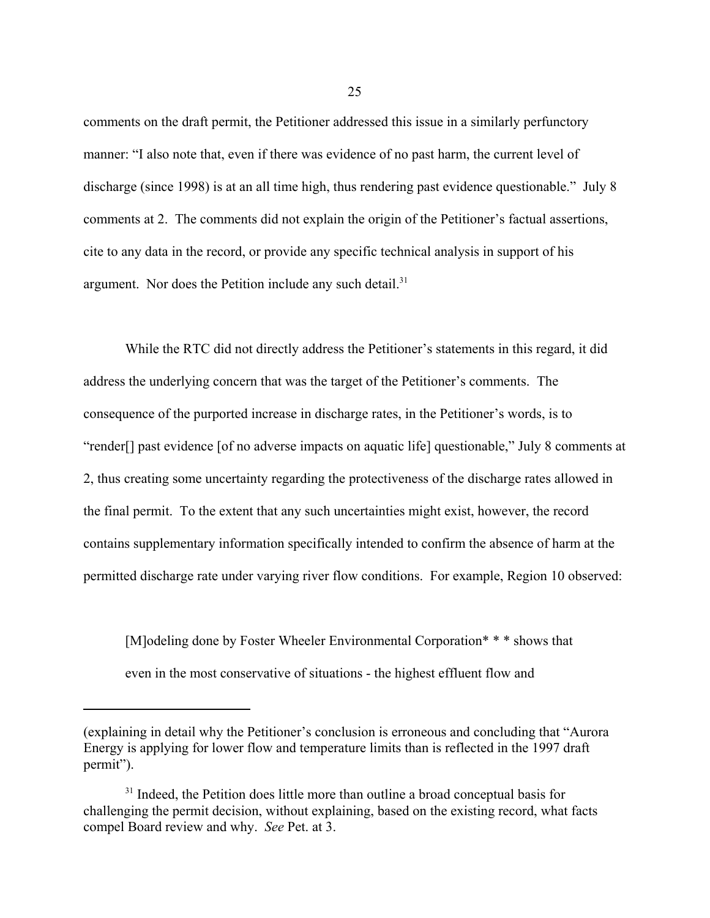comments on the draft permit, the Petitioner addressed this issue in a similarly perfunctory manner: "I also note that, even if there was evidence of no past harm, the current level of discharge (since 1998) is at an all time high, thus rendering past evidence questionable." July 8 comments at 2. The comments did not explain the origin of the Petitioner's factual assertions, cite to any data in the record, or provide any specific technical analysis in support of his argument. Nor does the Petition include any such detail. $31$ 

While the RTC did not directly address the Petitioner's statements in this regard, it did address the underlying concern that was the target of the Petitioner's comments. The consequence of the purported increase in discharge rates, in the Petitioner's words, is to "render[] past evidence [of no adverse impacts on aquatic life] questionable," July 8 comments at 2, thus creating some uncertainty regarding the protectiveness of the discharge rates allowed in the final permit. To the extent that any such uncertainties might exist, however, the record contains supplementary information specifically intended to confirm the absence of harm at the permitted discharge rate under varying river flow conditions. For example, Region 10 observed:

[M]odeling done by Foster Wheeler Environmental Corporation\* \* \* shows that even in the most conservative of situations - the highest effluent flow and

<sup>(</sup>explaining in detail why the Petitioner's conclusion is erroneous and concluding that "Aurora Energy is applying for lower flow and temperature limits than is reflected in the 1997 draft permit").

<sup>&</sup>lt;sup>31</sup> Indeed, the Petition does little more than outline a broad conceptual basis for challenging the permit decision, without explaining, based on the existing record, what facts compel Board review and why. *See* Pet. at 3.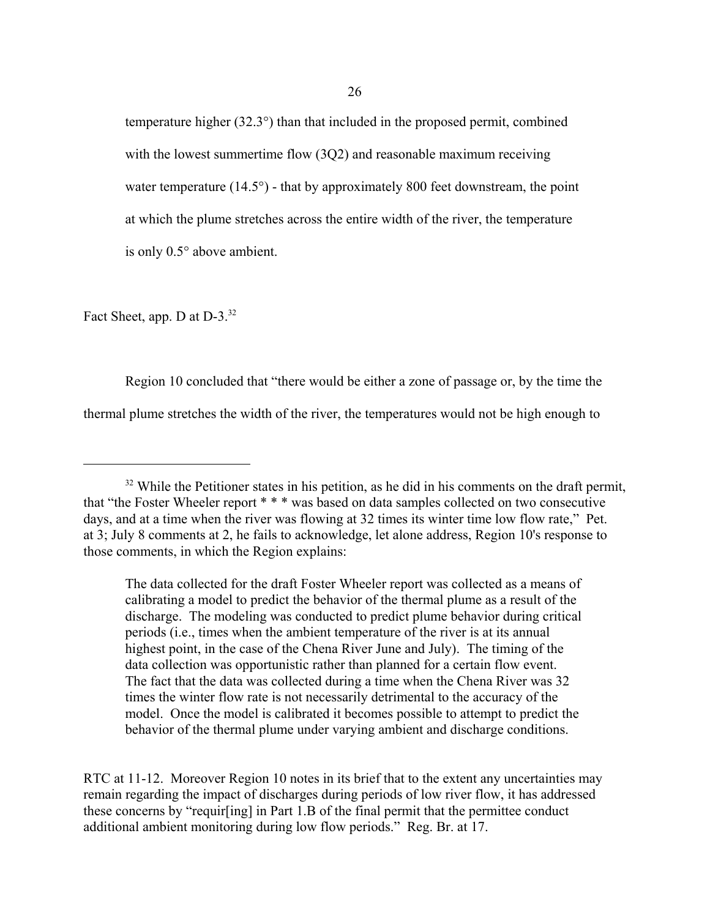temperature higher (32.3°) than that included in the proposed permit, combined with the lowest summertime flow (3Q2) and reasonable maximum receiving water temperature  $(14.5^{\circ})$  - that by approximately 800 feet downstream, the point at which the plume stretches across the entire width of the river, the temperature is only 0.5° above ambient.

Fact Sheet, app. D at D-3.<sup>32</sup>

Region 10 concluded that "there would be either a zone of passage or, by the time the thermal plume stretches the width of the river, the temperatures would not be high enough to

The data collected for the draft Foster Wheeler report was collected as a means of calibrating a model to predict the behavior of the thermal plume as a result of the discharge. The modeling was conducted to predict plume behavior during critical periods (i.e., times when the ambient temperature of the river is at its annual highest point, in the case of the Chena River June and July). The timing of the data collection was opportunistic rather than planned for a certain flow event. The fact that the data was collected during a time when the Chena River was 32 times the winter flow rate is not necessarily detrimental to the accuracy of the model. Once the model is calibrated it becomes possible to attempt to predict the behavior of the thermal plume under varying ambient and discharge conditions.

RTC at 11-12. Moreover Region 10 notes in its brief that to the extent any uncertainties may remain regarding the impact of discharges during periods of low river flow, it has addressed these concerns by "requir[ing] in Part 1.B of the final permit that the permittee conduct additional ambient monitoring during low flow periods." Reg. Br. at 17.

 $32$  While the Petitioner states in his petition, as he did in his comments on the draft permit, that "the Foster Wheeler report \* \* \* was based on data samples collected on two consecutive days, and at a time when the river was flowing at 32 times its winter time low flow rate," Pet. at 3; July 8 comments at 2, he fails to acknowledge, let alone address, Region 10's response to those comments, in which the Region explains: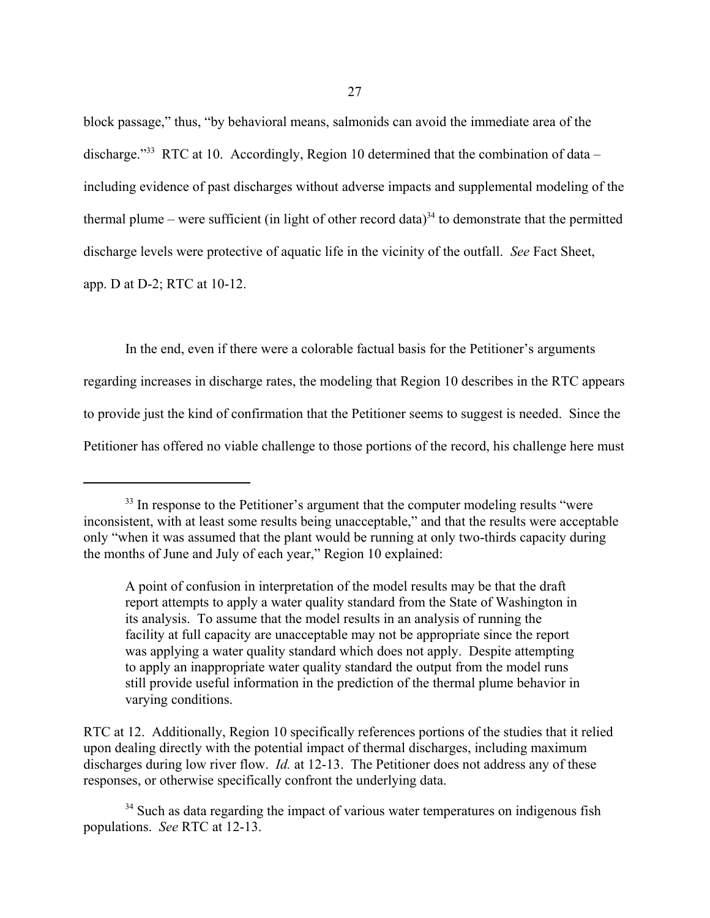block passage," thus, "by behavioral means, salmonids can avoid the immediate area of the discharge."<sup>33</sup> RTC at 10. Accordingly, Region 10 determined that the combination of data – including evidence of past discharges without adverse impacts and supplemental modeling of the thermal plume – were sufficient (in light of other record data)<sup>34</sup> to demonstrate that the permitted discharge levels were protective of aquatic life in the vicinity of the outfall. *See* Fact Sheet, app. D at D-2; RTC at 10-12.

In the end, even if there were a colorable factual basis for the Petitioner's arguments regarding increases in discharge rates, the modeling that Region 10 describes in the RTC appears to provide just the kind of confirmation that the Petitioner seems to suggest is needed. Since the Petitioner has offered no viable challenge to those portions of the record, his challenge here must

<sup>&</sup>lt;sup>33</sup> In response to the Petitioner's argument that the computer modeling results "were inconsistent, with at least some results being unacceptable," and that the results were acceptable only "when it was assumed that the plant would be running at only two-thirds capacity during the months of June and July of each year," Region 10 explained:

A point of confusion in interpretation of the model results may be that the draft report attempts to apply a water quality standard from the State of Washington in its analysis. To assume that the model results in an analysis of running the facility at full capacity are unacceptable may not be appropriate since the report was applying a water quality standard which does not apply. Despite attempting to apply an inappropriate water quality standard the output from the model runs still provide useful information in the prediction of the thermal plume behavior in varying conditions.

RTC at 12. Additionally, Region 10 specifically references portions of the studies that it relied upon dealing directly with the potential impact of thermal discharges, including maximum discharges during low river flow. *Id.* at 12-13. The Petitioner does not address any of these responses, or otherwise specifically confront the underlying data.

<sup>&</sup>lt;sup>34</sup> Such as data regarding the impact of various water temperatures on indigenous fish populations. *See* RTC at 12-13.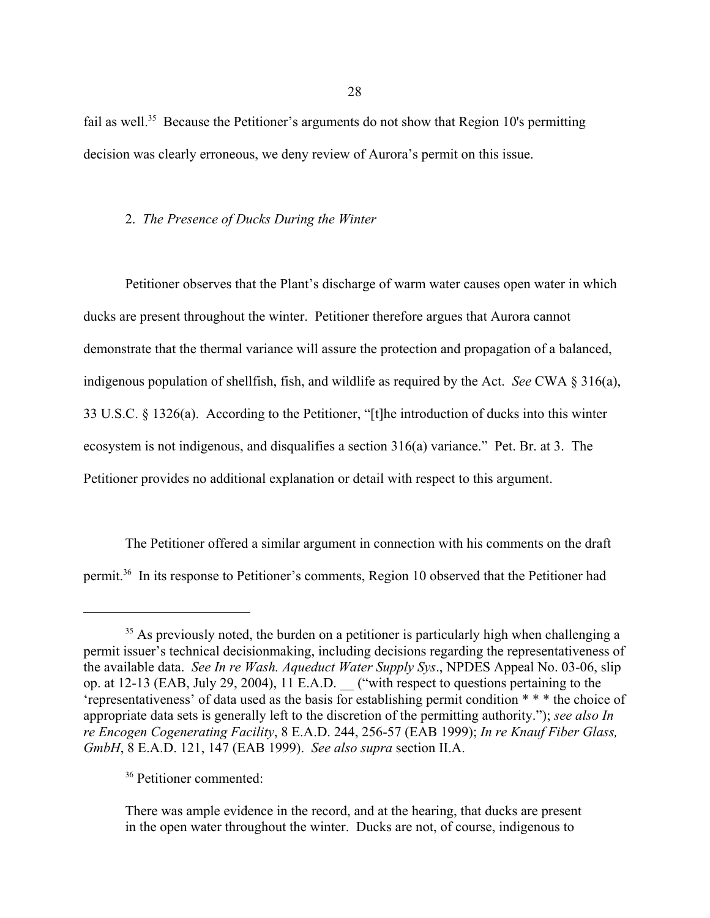fail as well.<sup>35</sup> Because the Petitioner's arguments do not show that Region 10's permitting decision was clearly erroneous, we deny review of Aurora's permit on this issue.

# 2. *The Presence of Ducks During the Winter*

Petitioner observes that the Plant's discharge of warm water causes open water in which ducks are present throughout the winter. Petitioner therefore argues that Aurora cannot demonstrate that the thermal variance will assure the protection and propagation of a balanced, indigenous population of shellfish, fish, and wildlife as required by the Act. *See* CWA § 316(a), 33 U.S.C. § 1326(a). According to the Petitioner, "[t]he introduction of ducks into this winter ecosystem is not indigenous, and disqualifies a section 316(a) variance." Pet. Br. at 3. The Petitioner provides no additional explanation or detail with respect to this argument.

The Petitioner offered a similar argument in connection with his comments on the draft permit.36 In its response to Petitioner's comments, Region 10 observed that the Petitioner had

 $35$  As previously noted, the burden on a petitioner is particularly high when challenging a permit issuer's technical decisionmaking, including decisions regarding the representativeness of the available data. *See In re Wash. Aqueduct Water Supply Sys*., NPDES Appeal No. 03-06, slip op. at 12-13 (EAB, July 29, 2004), 11 E.A.D. \_\_ ("with respect to questions pertaining to the 'representativeness' of data used as the basis for establishing permit condition \* \* \* the choice of appropriate data sets is generally left to the discretion of the permitting authority."); *see also In re Encogen Cogenerating Facility*, 8 E.A.D. 244, 256-57 (EAB 1999); *In re Knauf Fiber Glass, GmbH*, 8 E.A.D. 121, 147 (EAB 1999). *See also supra* section II.A.

<sup>36</sup> Petitioner commented:

There was ample evidence in the record, and at the hearing, that ducks are present in the open water throughout the winter. Ducks are not, of course, indigenous to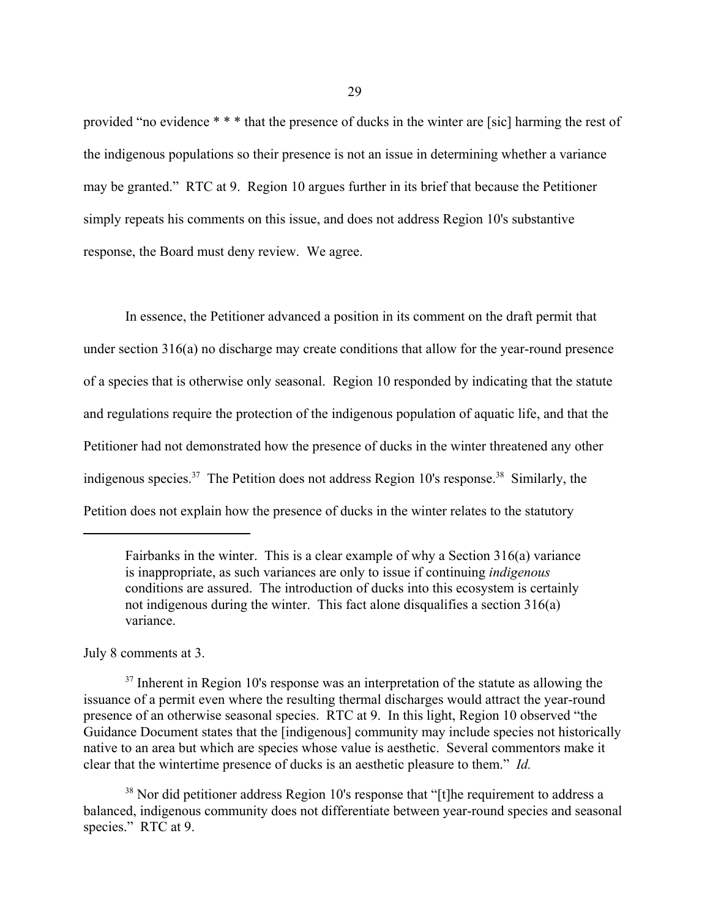provided "no evidence \* \* \* that the presence of ducks in the winter are [sic] harming the rest of the indigenous populations so their presence is not an issue in determining whether a variance may be granted." RTC at 9. Region 10 argues further in its brief that because the Petitioner simply repeats his comments on this issue, and does not address Region 10's substantive response, the Board must deny review. We agree.

In essence, the Petitioner advanced a position in its comment on the draft permit that under section 316(a) no discharge may create conditions that allow for the year-round presence of a species that is otherwise only seasonal. Region 10 responded by indicating that the statute and regulations require the protection of the indigenous population of aquatic life, and that the Petitioner had not demonstrated how the presence of ducks in the winter threatened any other indigenous species.<sup>37</sup> The Petition does not address Region 10's response.<sup>38</sup> Similarly, the Petition does not explain how the presence of ducks in the winter relates to the statutory

July 8 comments at 3.

Fairbanks in the winter. This is a clear example of why a Section 316(a) variance is inappropriate, as such variances are only to issue if continuing *indigenous* conditions are assured. The introduction of ducks into this ecosystem is certainly not indigenous during the winter. This fact alone disqualifies a section 316(a) variance.

 $37$  Inherent in Region 10's response was an interpretation of the statute as allowing the issuance of a permit even where the resulting thermal discharges would attract the year-round presence of an otherwise seasonal species. RTC at 9. In this light, Region 10 observed "the Guidance Document states that the [indigenous] community may include species not historically native to an area but which are species whose value is aesthetic. Several commentors make it clear that the wintertime presence of ducks is an aesthetic pleasure to them." *Id.*

<sup>&</sup>lt;sup>38</sup> Nor did petitioner address Region 10's response that "[t] the requirement to address a balanced, indigenous community does not differentiate between year-round species and seasonal species." RTC at 9.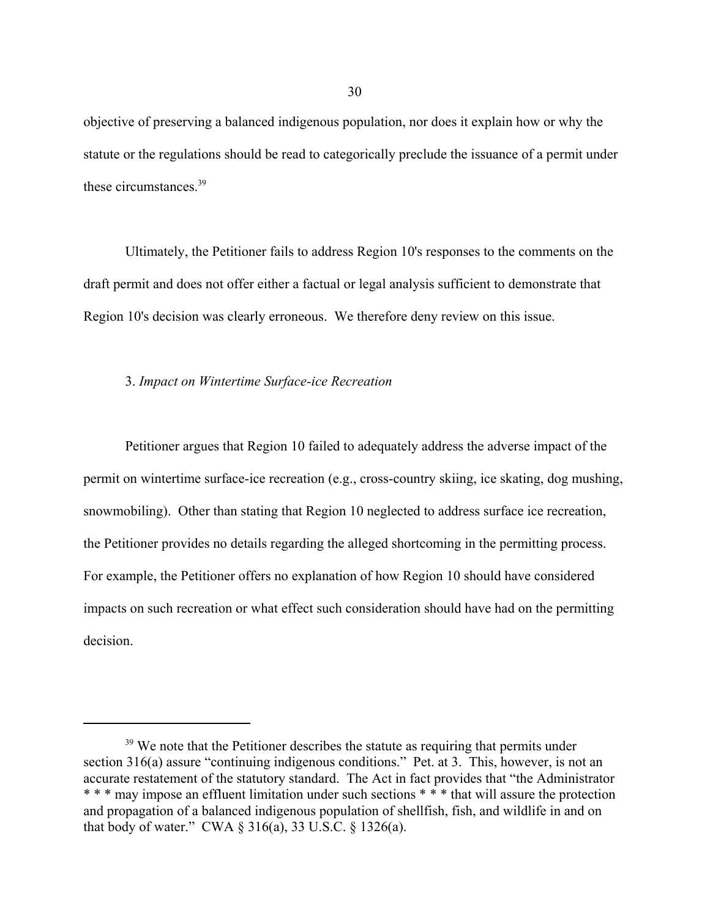objective of preserving a balanced indigenous population, nor does it explain how or why the statute or the regulations should be read to categorically preclude the issuance of a permit under these circumstances.39

Ultimately, the Petitioner fails to address Region 10's responses to the comments on the draft permit and does not offer either a factual or legal analysis sufficient to demonstrate that Region 10's decision was clearly erroneous. We therefore deny review on this issue.

### 3. *Impact on Wintertime Surface-ice Recreation*

Petitioner argues that Region 10 failed to adequately address the adverse impact of the permit on wintertime surface-ice recreation (e.g., cross-country skiing, ice skating, dog mushing, snowmobiling). Other than stating that Region 10 neglected to address surface ice recreation, the Petitioner provides no details regarding the alleged shortcoming in the permitting process. For example, the Petitioner offers no explanation of how Region 10 should have considered impacts on such recreation or what effect such consideration should have had on the permitting decision.

<sup>&</sup>lt;sup>39</sup> We note that the Petitioner describes the statute as requiring that permits under section 316(a) assure "continuing indigenous conditions." Pet. at 3. This, however, is not an accurate restatement of the statutory standard. The Act in fact provides that "the Administrator \* \* \* may impose an effluent limitation under such sections \* \* \* that will assure the protection and propagation of a balanced indigenous population of shellfish, fish, and wildlife in and on that body of water." CWA § 316(a), 33 U.S.C. § 1326(a).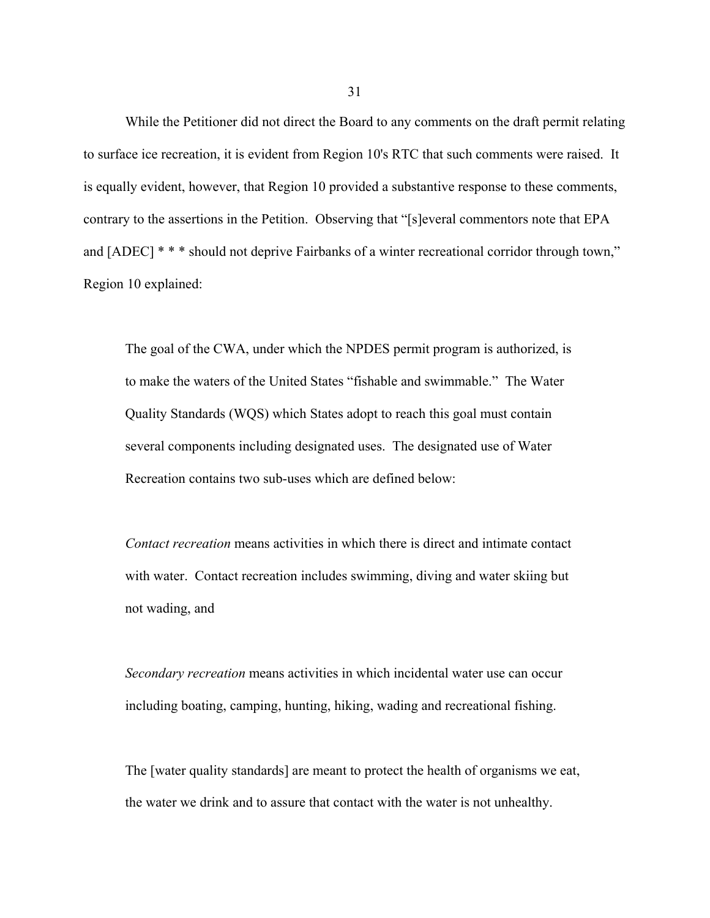While the Petitioner did not direct the Board to any comments on the draft permit relating to surface ice recreation, it is evident from Region 10's RTC that such comments were raised. It is equally evident, however, that Region 10 provided a substantive response to these comments, contrary to the assertions in the Petition. Observing that "[s]everal commentors note that EPA and [ADEC] \* \* \* should not deprive Fairbanks of a winter recreational corridor through town," Region 10 explained:

The goal of the CWA, under which the NPDES permit program is authorized, is to make the waters of the United States "fishable and swimmable." The Water Quality Standards (WQS) which States adopt to reach this goal must contain several components including designated uses. The designated use of Water Recreation contains two sub-uses which are defined below:

*Contact recreation* means activities in which there is direct and intimate contact with water. Contact recreation includes swimming, diving and water skiing but not wading, and

*Secondary recreation* means activities in which incidental water use can occur including boating, camping, hunting, hiking, wading and recreational fishing.

The [water quality standards] are meant to protect the health of organisms we eat, the water we drink and to assure that contact with the water is not unhealthy.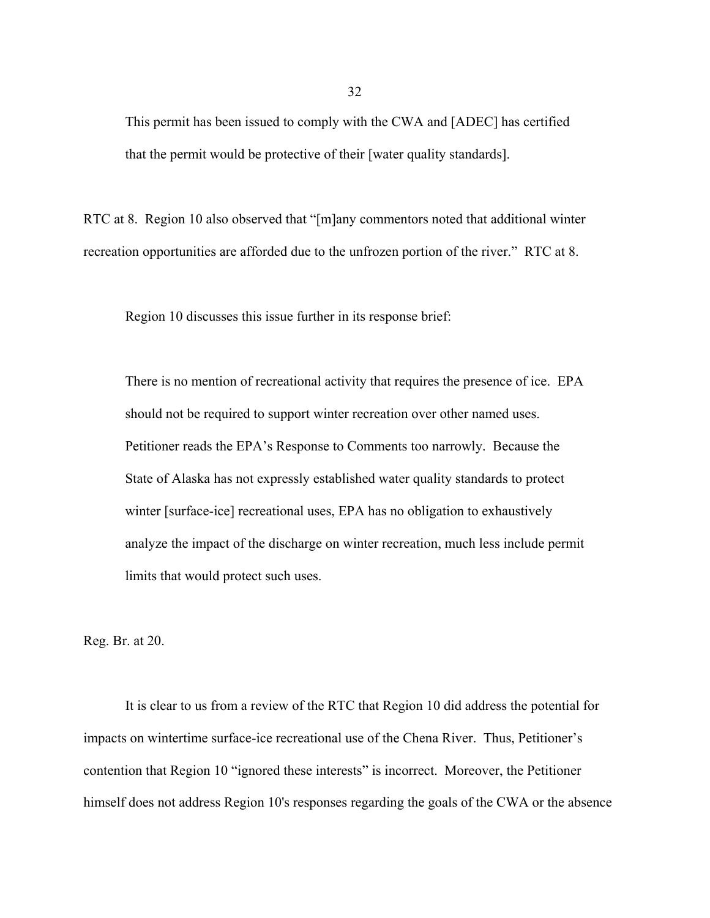This permit has been issued to comply with the CWA and [ADEC] has certified that the permit would be protective of their [water quality standards].

RTC at 8. Region 10 also observed that "[m]any commentors noted that additional winter recreation opportunities are afforded due to the unfrozen portion of the river." RTC at 8.

Region 10 discusses this issue further in its response brief:

There is no mention of recreational activity that requires the presence of ice. EPA should not be required to support winter recreation over other named uses. Petitioner reads the EPA's Response to Comments too narrowly. Because the State of Alaska has not expressly established water quality standards to protect winter [surface-ice] recreational uses, EPA has no obligation to exhaustively analyze the impact of the discharge on winter recreation, much less include permit limits that would protect such uses.

Reg. Br. at 20.

It is clear to us from a review of the RTC that Region 10 did address the potential for impacts on wintertime surface-ice recreational use of the Chena River. Thus, Petitioner's contention that Region 10 "ignored these interests" is incorrect. Moreover, the Petitioner himself does not address Region 10's responses regarding the goals of the CWA or the absence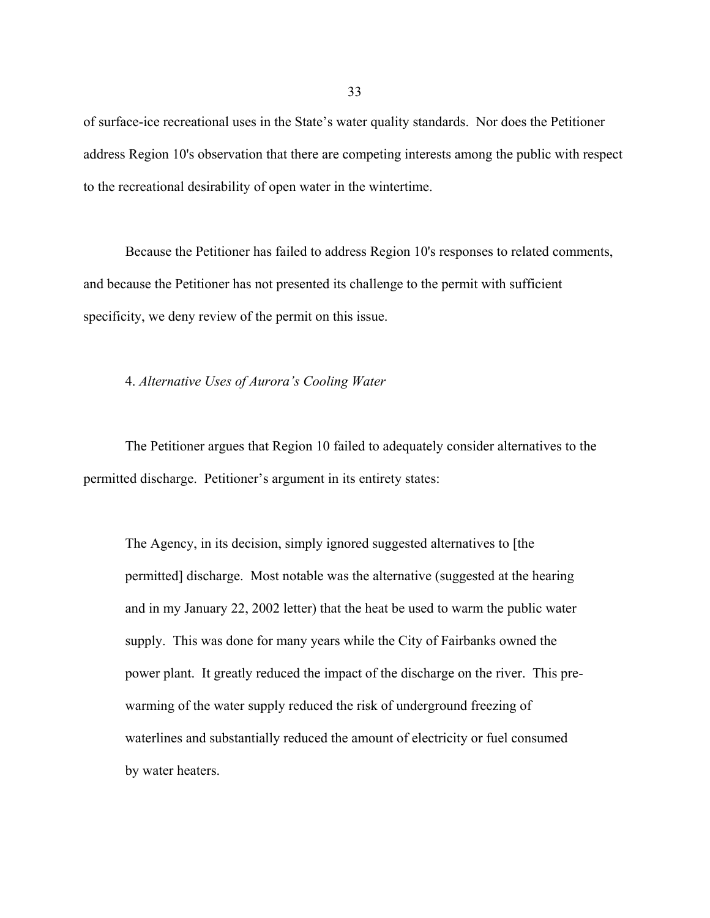of surface-ice recreational uses in the State's water quality standards. Nor does the Petitioner address Region 10's observation that there are competing interests among the public with respect to the recreational desirability of open water in the wintertime.

Because the Petitioner has failed to address Region 10's responses to related comments, and because the Petitioner has not presented its challenge to the permit with sufficient specificity, we deny review of the permit on this issue.

4. *Alternative Uses of Aurora's Cooling Water*

The Petitioner argues that Region 10 failed to adequately consider alternatives to the permitted discharge. Petitioner's argument in its entirety states:

The Agency, in its decision, simply ignored suggested alternatives to [the permitted] discharge. Most notable was the alternative (suggested at the hearing and in my January 22, 2002 letter) that the heat be used to warm the public water supply. This was done for many years while the City of Fairbanks owned the power plant. It greatly reduced the impact of the discharge on the river. This prewarming of the water supply reduced the risk of underground freezing of waterlines and substantially reduced the amount of electricity or fuel consumed by water heaters.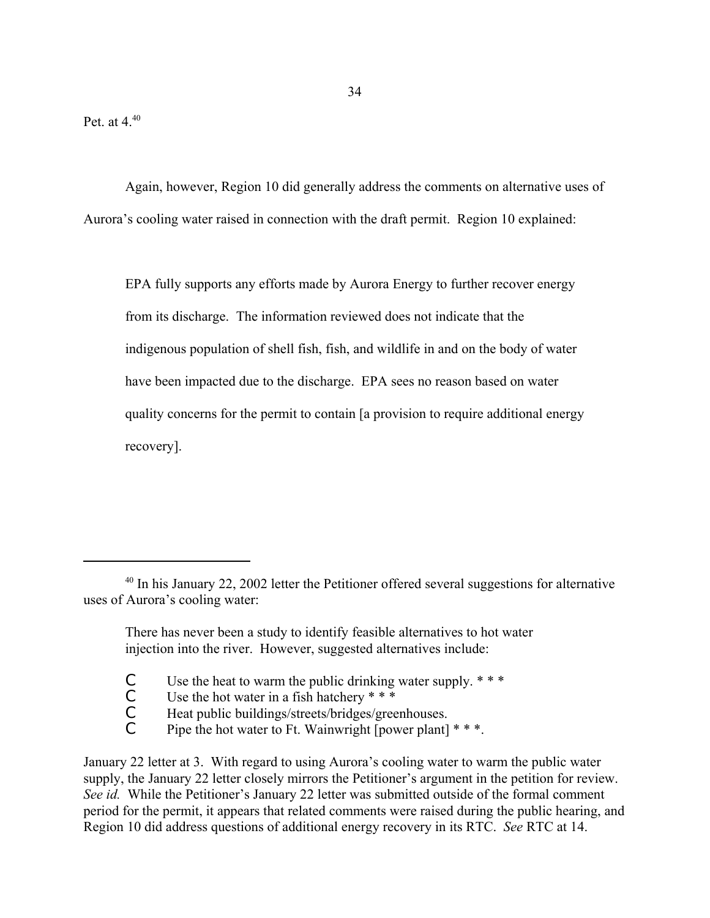Again, however, Region 10 did generally address the comments on alternative uses of Aurora's cooling water raised in connection with the draft permit. Region 10 explained:

EPA fully supports any efforts made by Aurora Energy to further recover energy from its discharge. The information reviewed does not indicate that the indigenous population of shell fish, fish, and wildlife in and on the body of water have been impacted due to the discharge. EPA sees no reason based on water quality concerns for the permit to contain [a provision to require additional energy recovery].

- C Use the heat to warm the public drinking water supply.  $***$ <br>C Use the hot water in a fish hatchery  $***$
- C Use the hot water in a fish hatchery  $* * *$ <br>C Heat public buildings/streets/bridges/gree
- C Heat public buildings/streets/bridges/greenhouses.<br>C Pine the hot water to Ft Wainwright [nower plant]
- Pipe the hot water to Ft. Wainwright [power plant]  $* * *$ .

January 22 letter at 3. With regard to using Aurora's cooling water to warm the public water supply, the January 22 letter closely mirrors the Petitioner's argument in the petition for review. *See id.* While the Petitioner's January 22 letter was submitted outside of the formal comment period for the permit, it appears that related comments were raised during the public hearing, and Region 10 did address questions of additional energy recovery in its RTC. *See* RTC at 14.

<sup>&</sup>lt;sup>40</sup> In his January 22, 2002 letter the Petitioner offered several suggestions for alternative uses of Aurora's cooling water:

There has never been a study to identify feasible alternatives to hot water injection into the river. However, suggested alternatives include: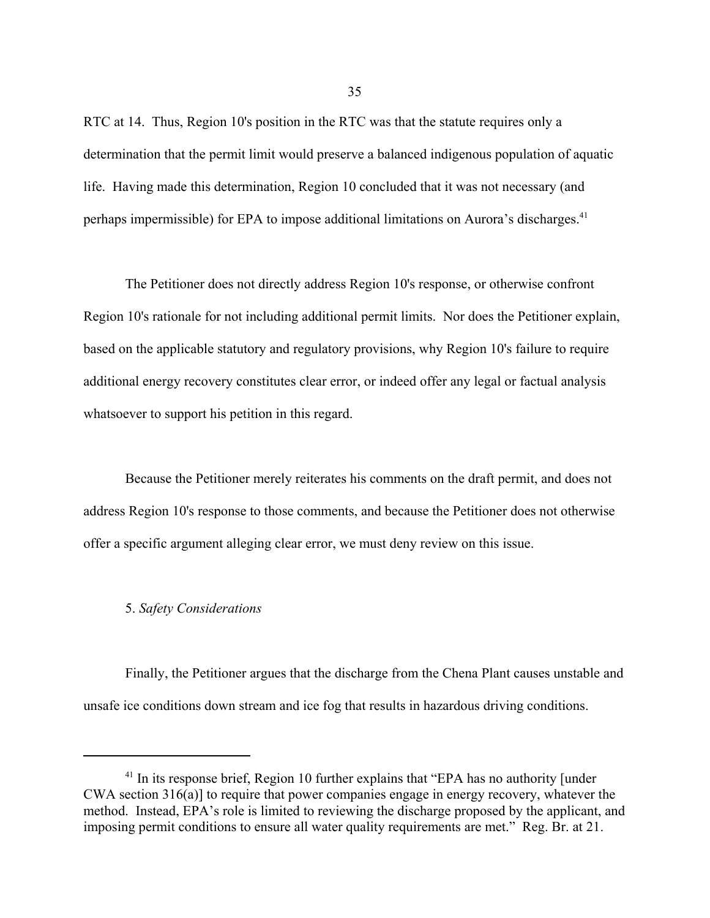RTC at 14. Thus, Region 10's position in the RTC was that the statute requires only a determination that the permit limit would preserve a balanced indigenous population of aquatic life. Having made this determination, Region 10 concluded that it was not necessary (and perhaps impermissible) for EPA to impose additional limitations on Aurora's discharges.<sup>41</sup>

The Petitioner does not directly address Region 10's response, or otherwise confront Region 10's rationale for not including additional permit limits. Nor does the Petitioner explain, based on the applicable statutory and regulatory provisions, why Region 10's failure to require additional energy recovery constitutes clear error, or indeed offer any legal or factual analysis whatsoever to support his petition in this regard.

Because the Petitioner merely reiterates his comments on the draft permit, and does not address Region 10's response to those comments, and because the Petitioner does not otherwise offer a specific argument alleging clear error, we must deny review on this issue.

#### 5. *Safety Considerations*

Finally, the Petitioner argues that the discharge from the Chena Plant causes unstable and unsafe ice conditions down stream and ice fog that results in hazardous driving conditions.

35

<sup>&</sup>lt;sup>41</sup> In its response brief, Region 10 further explains that "EPA has no authority [under CWA section 316(a)] to require that power companies engage in energy recovery, whatever the method. Instead, EPA's role is limited to reviewing the discharge proposed by the applicant, and imposing permit conditions to ensure all water quality requirements are met." Reg. Br. at 21.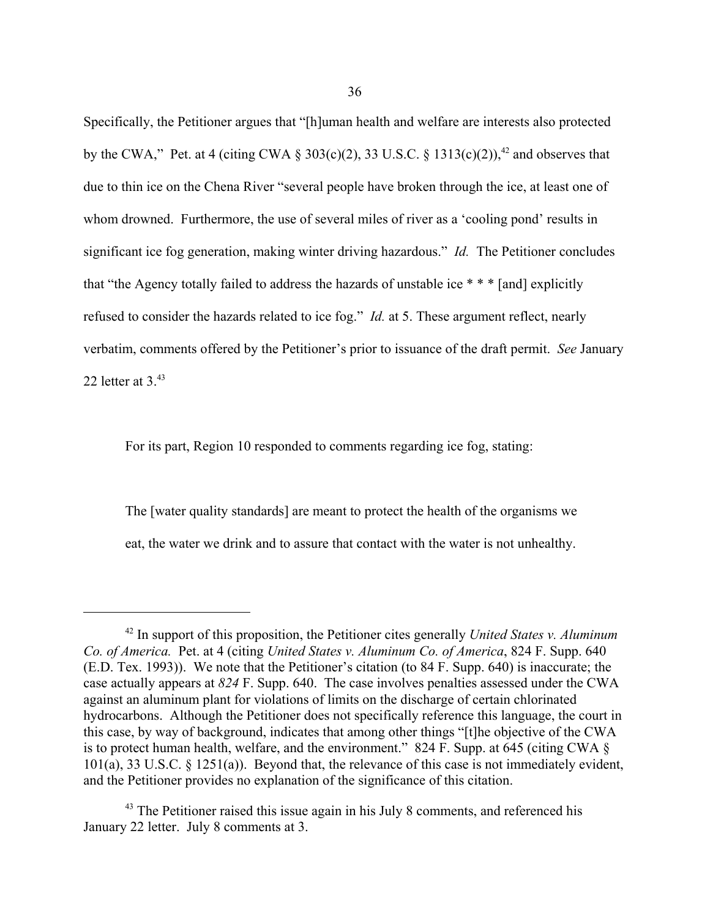Specifically, the Petitioner argues that "[h]uman health and welfare are interests also protected by the CWA," Pet. at 4 (citing CWA  $\S 303(c)(2)$ , 33 U.S.C.  $\S 1313(c)(2)$ ),  $42$  and observes that due to thin ice on the Chena River "several people have broken through the ice, at least one of whom drowned. Furthermore, the use of several miles of river as a 'cooling pond' results in significant ice fog generation, making winter driving hazardous." *Id.* The Petitioner concludes that "the Agency totally failed to address the hazards of unstable ice \* \* \* [and] explicitly refused to consider the hazards related to ice fog." *Id.* at 5. These argument reflect, nearly verbatim, comments offered by the Petitioner's prior to issuance of the draft permit. *See* January 22 letter at  $3^{43}$ 

For its part, Region 10 responded to comments regarding ice fog, stating:

The [water quality standards] are meant to protect the health of the organisms we eat, the water we drink and to assure that contact with the water is not unhealthy.

<sup>42</sup> In support of this proposition, the Petitioner cites generally *United States v. Aluminum Co. of America.* Pet. at 4 (citing *United States v. Aluminum Co. of America*, 824 F. Supp. 640 (E.D. Tex. 1993)). We note that the Petitioner's citation (to 84 F. Supp. 640) is inaccurate; the case actually appears at *824* F. Supp. 640. The case involves penalties assessed under the CWA against an aluminum plant for violations of limits on the discharge of certain chlorinated hydrocarbons. Although the Petitioner does not specifically reference this language, the court in this case, by way of background, indicates that among other things "[t]he objective of the CWA is to protect human health, welfare, and the environment." 824 F. Supp. at 645 (citing CWA  $\S$ ) 101(a), 33 U.S.C. § 1251(a)). Beyond that, the relevance of this case is not immediately evident, and the Petitioner provides no explanation of the significance of this citation.

 $43$  The Petitioner raised this issue again in his July 8 comments, and referenced his January 22 letter. July 8 comments at 3.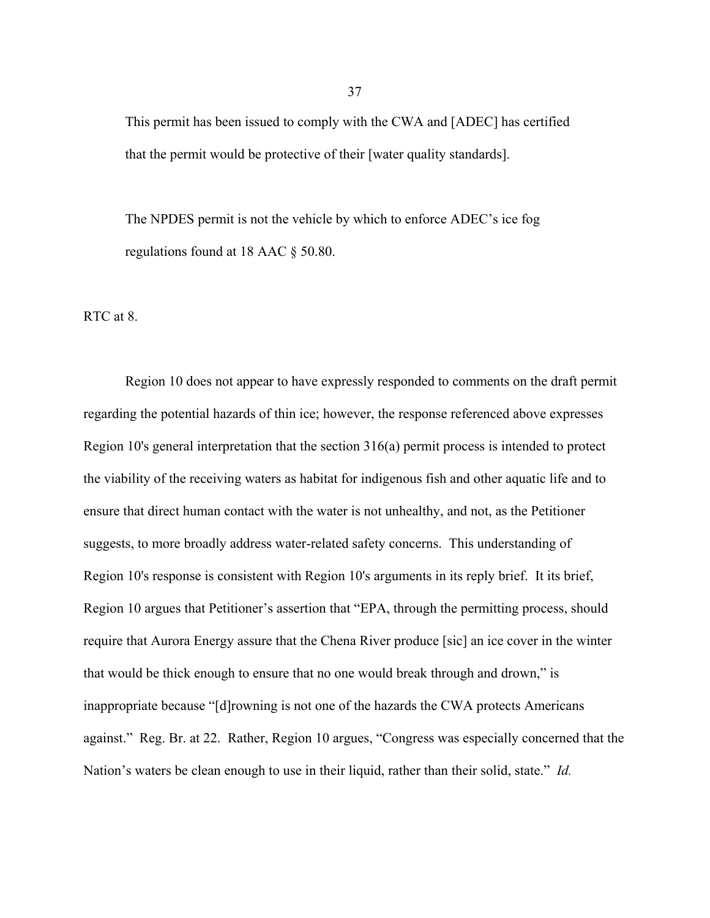This permit has been issued to comply with the CWA and [ADEC] has certified that the permit would be protective of their [water quality standards].

The NPDES permit is not the vehicle by which to enforce ADEC's ice fog regulations found at 18 AAC § 50.80.

RTC at 8.

Region 10 does not appear to have expressly responded to comments on the draft permit regarding the potential hazards of thin ice; however, the response referenced above expresses Region 10's general interpretation that the section 316(a) permit process is intended to protect the viability of the receiving waters as habitat for indigenous fish and other aquatic life and to ensure that direct human contact with the water is not unhealthy, and not, as the Petitioner suggests, to more broadly address water-related safety concerns. This understanding of Region 10's response is consistent with Region 10's arguments in its reply brief. It its brief, Region 10 argues that Petitioner's assertion that "EPA, through the permitting process, should require that Aurora Energy assure that the Chena River produce [sic] an ice cover in the winter that would be thick enough to ensure that no one would break through and drown," is inappropriate because "[d]rowning is not one of the hazards the CWA protects Americans against." Reg. Br. at 22. Rather, Region 10 argues, "Congress was especially concerned that the Nation's waters be clean enough to use in their liquid, rather than their solid, state." *Id.*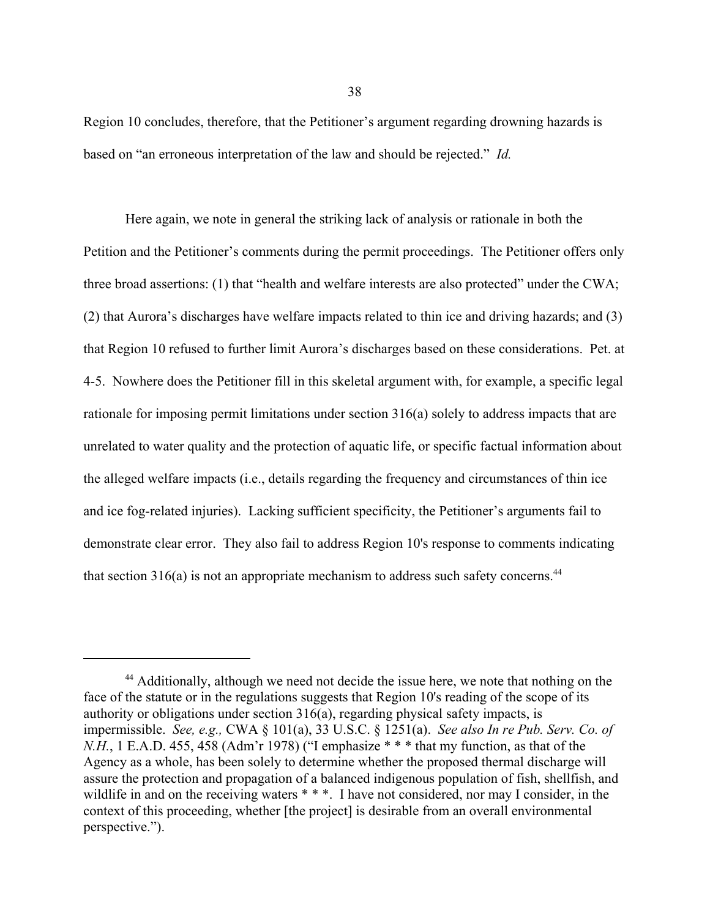Region 10 concludes, therefore, that the Petitioner's argument regarding drowning hazards is based on "an erroneous interpretation of the law and should be rejected." *Id.*

Here again, we note in general the striking lack of analysis or rationale in both the Petition and the Petitioner's comments during the permit proceedings. The Petitioner offers only three broad assertions: (1) that "health and welfare interests are also protected" under the CWA; (2) that Aurora's discharges have welfare impacts related to thin ice and driving hazards; and (3) that Region 10 refused to further limit Aurora's discharges based on these considerations. Pet. at 4-5. Nowhere does the Petitioner fill in this skeletal argument with, for example, a specific legal rationale for imposing permit limitations under section 316(a) solely to address impacts that are unrelated to water quality and the protection of aquatic life, or specific factual information about the alleged welfare impacts (i.e., details regarding the frequency and circumstances of thin ice and ice fog-related injuries). Lacking sufficient specificity, the Petitioner's arguments fail to demonstrate clear error. They also fail to address Region 10's response to comments indicating that section  $316(a)$  is not an appropriate mechanism to address such safety concerns.<sup>44</sup>

<sup>&</sup>lt;sup>44</sup> Additionally, although we need not decide the issue here, we note that nothing on the face of the statute or in the regulations suggests that Region 10's reading of the scope of its authority or obligations under section 316(a), regarding physical safety impacts, is impermissible. *See, e.g.,* CWA § 101(a), 33 U.S.C. § 1251(a). *See also In re Pub. Serv. Co. of N.H.*, 1 E.A.D. 455, 458 (Adm'r 1978) ("I emphasize \* \* \* that my function, as that of the Agency as a whole, has been solely to determine whether the proposed thermal discharge will assure the protection and propagation of a balanced indigenous population of fish, shellfish, and wildlife in and on the receiving waters \* \* \*. I have not considered, nor may I consider, in the context of this proceeding, whether [the project] is desirable from an overall environmental perspective.").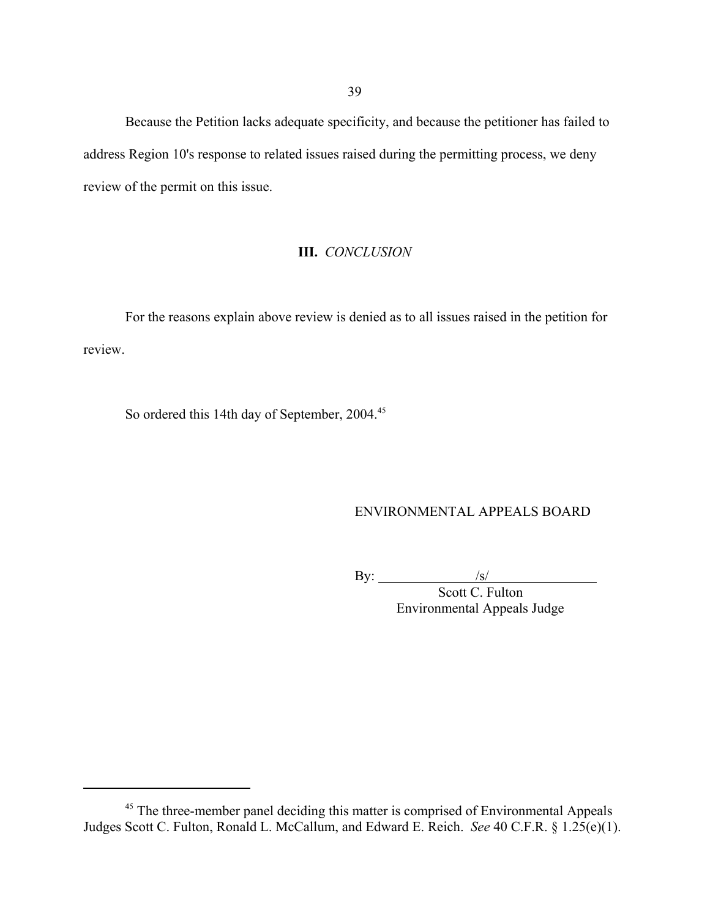Because the Petition lacks adequate specificity, and because the petitioner has failed to address Region 10's response to related issues raised during the permitting process, we deny review of the permit on this issue.

# **III.** *CONCLUSION*

For the reasons explain above review is denied as to all issues raised in the petition for review.

So ordered this 14th day of September, 2004.<sup>45</sup>

# ENVIRONMENTAL APPEALS BOARD

By:  $\frac{|s|}{|s|}$ 

Scott C. Fulton Environmental Appeals Judge

<sup>&</sup>lt;sup>45</sup> The three-member panel deciding this matter is comprised of Environmental Appeals Judges Scott C. Fulton, Ronald L. McCallum, and Edward E. Reich. *See* 40 C.F.R. § 1.25(e)(1).